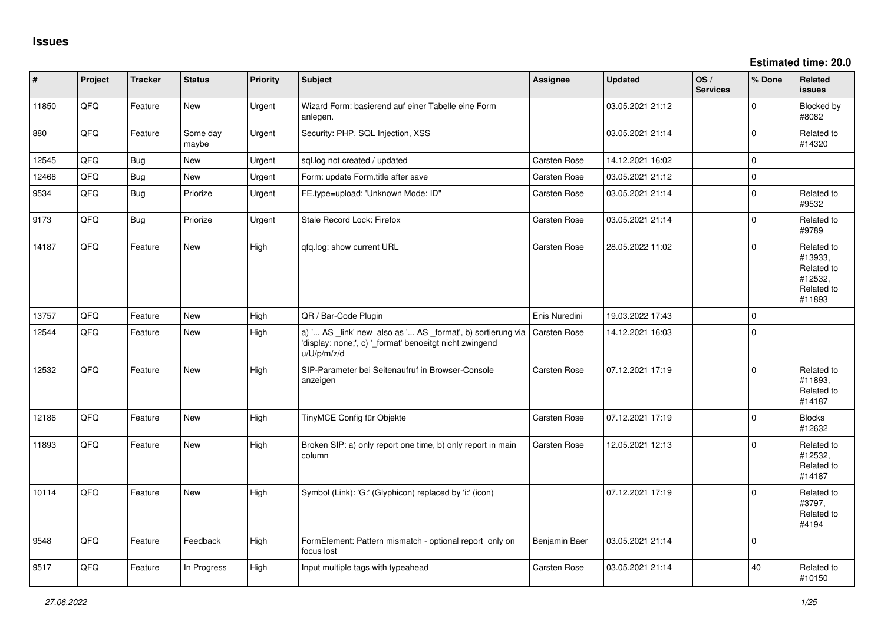**Estimated time: 20.0**

| #     | Project | <b>Tracker</b> | <b>Status</b>     | <b>Priority</b> | <b>Subject</b>                                                                                                                        | <b>Assignee</b>     | <b>Updated</b>   | OS/<br><b>Services</b> | % Done      | Related<br><b>issues</b>                                               |
|-------|---------|----------------|-------------------|-----------------|---------------------------------------------------------------------------------------------------------------------------------------|---------------------|------------------|------------------------|-------------|------------------------------------------------------------------------|
| 11850 | QFQ     | Feature        | New               | Urgent          | Wizard Form: basierend auf einer Tabelle eine Form<br>anlegen.                                                                        |                     | 03.05.2021 21:12 |                        | $\mathbf 0$ | Blocked by<br>#8082                                                    |
| 880   | QFQ     | Feature        | Some day<br>maybe | Urgent          | Security: PHP, SQL Injection, XSS                                                                                                     |                     | 03.05.2021 21:14 |                        | $\mathbf 0$ | Related to<br>#14320                                                   |
| 12545 | QFQ     | Bug            | <b>New</b>        | Urgent          | sql.log not created / updated                                                                                                         | <b>Carsten Rose</b> | 14.12.2021 16:02 |                        | $\mathbf 0$ |                                                                        |
| 12468 | QFQ     | Bug            | New               | Urgent          | Form: update Form.title after save                                                                                                    | Carsten Rose        | 03.05.2021 21:12 |                        | $\mathsf 0$ |                                                                        |
| 9534  | QFQ     | Bug            | Priorize          | Urgent          | FE.type=upload: 'Unknown Mode: ID"                                                                                                    | Carsten Rose        | 03.05.2021 21:14 |                        | $\mathbf 0$ | Related to<br>#9532                                                    |
| 9173  | QFQ     | Bug            | Priorize          | Urgent          | Stale Record Lock: Firefox                                                                                                            | <b>Carsten Rose</b> | 03.05.2021 21:14 |                        | $\mathbf 0$ | Related to<br>#9789                                                    |
| 14187 | QFQ     | Feature        | <b>New</b>        | High            | qfq.log: show current URL                                                                                                             | Carsten Rose        | 28.05.2022 11:02 |                        | $\mathbf 0$ | Related to<br>#13933,<br>Related to<br>#12532,<br>Related to<br>#11893 |
| 13757 | QFQ     | Feature        | <b>New</b>        | High            | QR / Bar-Code Plugin                                                                                                                  | Enis Nuredini       | 19.03.2022 17:43 |                        | $\mathbf 0$ |                                                                        |
| 12544 | QFQ     | Feature        | <b>New</b>        | High            | a) ' AS _link' new also as ' AS _format', b) sortierung via<br>'display: none;', c) '_format' benoeitgt nicht zwingend<br>u/U/p/m/z/d | <b>Carsten Rose</b> | 14.12.2021 16:03 |                        | $\mathbf 0$ |                                                                        |
| 12532 | QFQ     | Feature        | New               | High            | SIP-Parameter bei Seitenaufruf in Browser-Console<br>anzeigen                                                                         | Carsten Rose        | 07.12.2021 17:19 |                        | $\mathbf 0$ | Related to<br>#11893,<br>Related to<br>#14187                          |
| 12186 | QFQ     | Feature        | <b>New</b>        | High            | TinyMCE Config für Objekte                                                                                                            | <b>Carsten Rose</b> | 07.12.2021 17:19 |                        | $\mathbf 0$ | <b>Blocks</b><br>#12632                                                |
| 11893 | QFQ     | Feature        | New               | High            | Broken SIP: a) only report one time, b) only report in main<br>column                                                                 | Carsten Rose        | 12.05.2021 12:13 |                        | $\Omega$    | Related to<br>#12532,<br>Related to<br>#14187                          |
| 10114 | QFQ     | Feature        | New               | High            | Symbol (Link): 'G:' (Glyphicon) replaced by 'i:' (icon)                                                                               |                     | 07.12.2021 17:19 |                        | $\Omega$    | Related to<br>#3797,<br>Related to<br>#4194                            |
| 9548  | QFQ     | Feature        | Feedback          | High            | FormElement: Pattern mismatch - optional report only on<br>focus lost                                                                 | Benjamin Baer       | 03.05.2021 21:14 |                        | $\mathbf 0$ |                                                                        |
| 9517  | QFQ     | Feature        | In Progress       | High            | Input multiple tags with typeahead                                                                                                    | Carsten Rose        | 03.05.2021 21:14 |                        | 40          | Related to<br>#10150                                                   |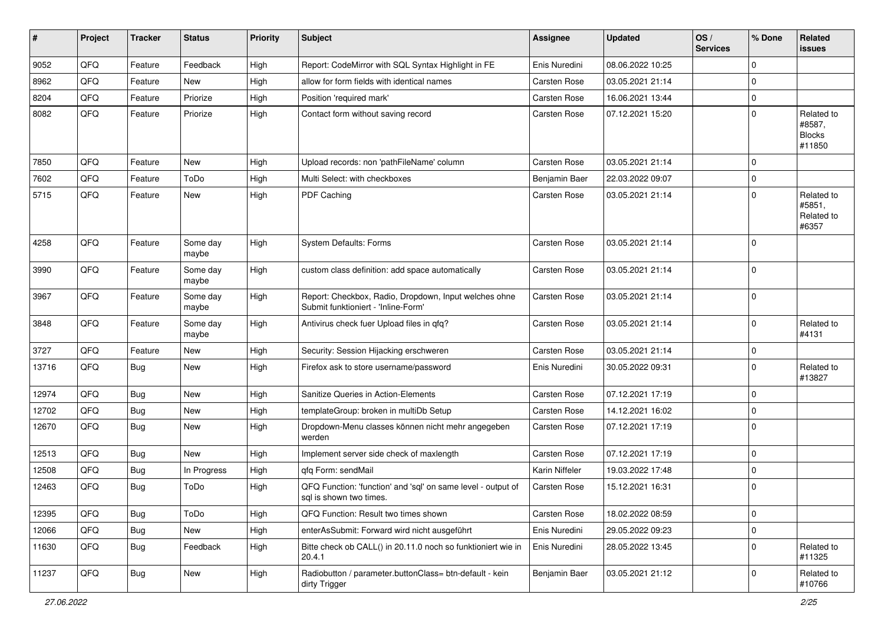| ∦     | Project | <b>Tracker</b> | <b>Status</b>     | <b>Priority</b> | <b>Subject</b>                                                                               | <b>Assignee</b> | <b>Updated</b>   | OS/<br><b>Services</b> | % Done      | Related<br>issues                               |
|-------|---------|----------------|-------------------|-----------------|----------------------------------------------------------------------------------------------|-----------------|------------------|------------------------|-------------|-------------------------------------------------|
| 9052  | QFQ     | Feature        | Feedback          | High            | Report: CodeMirror with SQL Syntax Highlight in FE                                           | Enis Nuredini   | 08.06.2022 10:25 |                        | $\mathbf 0$ |                                                 |
| 8962  | QFQ     | Feature        | New               | High            | allow for form fields with identical names                                                   | Carsten Rose    | 03.05.2021 21:14 |                        | $\mathbf 0$ |                                                 |
| 8204  | QFQ     | Feature        | Priorize          | High            | Position 'required mark'                                                                     | Carsten Rose    | 16.06.2021 13:44 |                        | $\mathbf 0$ |                                                 |
| 8082  | QFQ     | Feature        | Priorize          | High            | Contact form without saving record                                                           | Carsten Rose    | 07.12.2021 15:20 |                        | $\Omega$    | Related to<br>#8587,<br><b>Blocks</b><br>#11850 |
| 7850  | QFQ     | Feature        | <b>New</b>        | High            | Upload records: non 'pathFileName' column                                                    | Carsten Rose    | 03.05.2021 21:14 |                        | $\Omega$    |                                                 |
| 7602  | QFQ     | Feature        | ToDo              | High            | Multi Select: with checkboxes                                                                | Benjamin Baer   | 22.03.2022 09:07 |                        | $\mathbf 0$ |                                                 |
| 5715  | QFQ     | Feature        | <b>New</b>        | High            | PDF Caching                                                                                  | Carsten Rose    | 03.05.2021 21:14 |                        | $\mathbf 0$ | Related to<br>#5851,<br>Related to<br>#6357     |
| 4258  | QFQ     | Feature        | Some day<br>maybe | High            | System Defaults: Forms                                                                       | Carsten Rose    | 03.05.2021 21:14 |                        | $\Omega$    |                                                 |
| 3990  | QFQ     | Feature        | Some day<br>maybe | High            | custom class definition: add space automatically                                             | Carsten Rose    | 03.05.2021 21:14 |                        | $\Omega$    |                                                 |
| 3967  | QFQ     | Feature        | Some day<br>maybe | High            | Report: Checkbox, Radio, Dropdown, Input welches ohne<br>Submit funktioniert - 'Inline-Form' | Carsten Rose    | 03.05.2021 21:14 |                        | $\Omega$    |                                                 |
| 3848  | QFQ     | Feature        | Some day<br>maybe | High            | Antivirus check fuer Upload files in qfq?                                                    | Carsten Rose    | 03.05.2021 21:14 |                        | $\mathbf 0$ | Related to<br>#4131                             |
| 3727  | QFQ     | Feature        | New               | High            | Security: Session Hijacking erschweren                                                       | Carsten Rose    | 03.05.2021 21:14 |                        | $\mathbf 0$ |                                                 |
| 13716 | QFQ     | Bug            | New               | High            | Firefox ask to store username/password                                                       | Enis Nuredini   | 30.05.2022 09:31 |                        | $\Omega$    | Related to<br>#13827                            |
| 12974 | QFQ     | Bug            | <b>New</b>        | High            | Sanitize Queries in Action-Elements                                                          | Carsten Rose    | 07.12.2021 17:19 |                        | $\mathbf 0$ |                                                 |
| 12702 | QFQ     | Bug            | <b>New</b>        | High            | templateGroup: broken in multiDb Setup                                                       | Carsten Rose    | 14.12.2021 16:02 |                        | $\mathbf 0$ |                                                 |
| 12670 | QFQ     | Bug            | New               | High            | Dropdown-Menu classes können nicht mehr angegeben<br>werden                                  | Carsten Rose    | 07.12.2021 17:19 |                        | $\mathbf 0$ |                                                 |
| 12513 | QFQ     | Bug            | <b>New</b>        | High            | Implement server side check of maxlength                                                     | Carsten Rose    | 07.12.2021 17:19 |                        | $\mathbf 0$ |                                                 |
| 12508 | QFQ     | <b>Bug</b>     | In Progress       | High            | qfq Form: sendMail                                                                           | Karin Niffeler  | 19.03.2022 17:48 |                        | $\mathbf 0$ |                                                 |
| 12463 | QFQ     | Bug            | ToDo              | High            | QFQ Function: 'function' and 'sql' on same level - output of<br>sql is shown two times.      | Carsten Rose    | 15.12.2021 16:31 |                        | $\mathbf 0$ |                                                 |
| 12395 | QFQ     | <b>Bug</b>     | ToDo              | High            | QFQ Function: Result two times shown                                                         | Carsten Rose    | 18.02.2022 08:59 |                        | $\mathbf 0$ |                                                 |
| 12066 | QFQ     | <b>Bug</b>     | New               | High            | enterAsSubmit: Forward wird nicht ausgeführt                                                 | Enis Nuredini   | 29.05.2022 09:23 |                        | $\mathbf 0$ |                                                 |
| 11630 | QFQ     | <b>Bug</b>     | Feedback          | High            | Bitte check ob CALL() in 20.11.0 noch so funktioniert wie in<br>20.4.1                       | Enis Nuredini   | 28.05.2022 13:45 |                        | $\pmb{0}$   | Related to<br>#11325                            |
| 11237 | QFQ     | Bug            | New               | High            | Radiobutton / parameter.buttonClass= btn-default - kein<br>dirty Trigger                     | Benjamin Baer   | 03.05.2021 21:12 |                        | $\mathbf 0$ | Related to<br>#10766                            |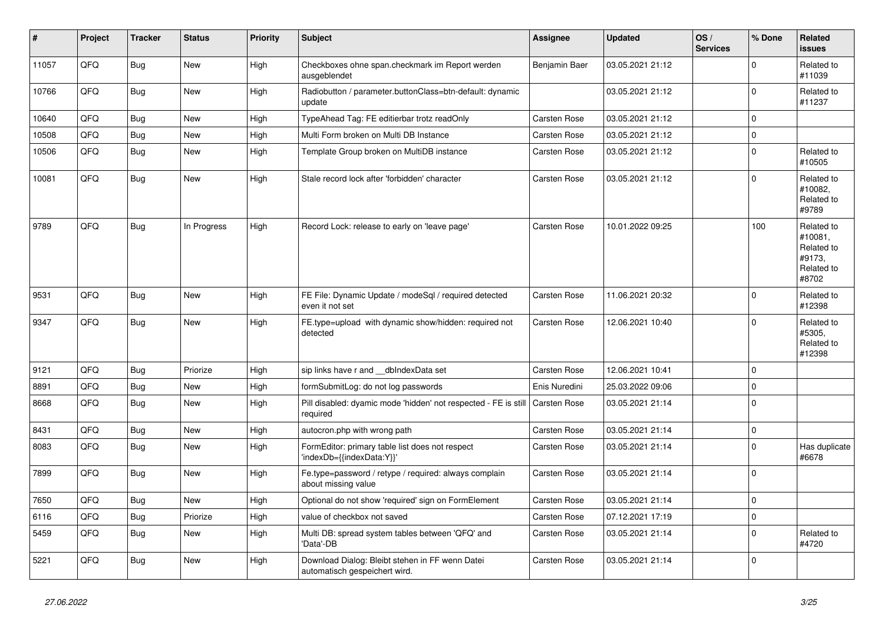| #     | Project | <b>Tracker</b> | <b>Status</b> | <b>Priority</b> | <b>Subject</b>                                                                   | <b>Assignee</b>     | <b>Updated</b>   | OS/<br><b>Services</b> | % Done      | Related<br><b>issues</b>                                             |
|-------|---------|----------------|---------------|-----------------|----------------------------------------------------------------------------------|---------------------|------------------|------------------------|-------------|----------------------------------------------------------------------|
| 11057 | QFQ     | <b>Bug</b>     | <b>New</b>    | High            | Checkboxes ohne span.checkmark im Report werden<br>ausgeblendet                  | Benjamin Baer       | 03.05.2021 21:12 |                        | $\Omega$    | Related to<br>#11039                                                 |
| 10766 | QFQ     | Bug            | <b>New</b>    | High            | Radiobutton / parameter.buttonClass=btn-default: dynamic<br>update               |                     | 03.05.2021 21:12 |                        | $\Omega$    | Related to<br>#11237                                                 |
| 10640 | QFQ     | Bug            | New           | High            | TypeAhead Tag: FE editierbar trotz readOnly                                      | Carsten Rose        | 03.05.2021 21:12 |                        | $\Omega$    |                                                                      |
| 10508 | QFQ     | Bug            | <b>New</b>    | High            | Multi Form broken on Multi DB Instance                                           | <b>Carsten Rose</b> | 03.05.2021 21:12 |                        | 0           |                                                                      |
| 10506 | QFQ     | Bug            | New           | High            | Template Group broken on MultiDB instance                                        | Carsten Rose        | 03.05.2021 21:12 |                        | $\mathbf 0$ | Related to<br>#10505                                                 |
| 10081 | QFQ     | Bug            | New           | High            | Stale record lock after 'forbidden' character                                    | <b>Carsten Rose</b> | 03.05.2021 21:12 |                        | $\Omega$    | Related to<br>#10082.<br>Related to<br>#9789                         |
| 9789  | QFQ     | Bug            | In Progress   | High            | Record Lock: release to early on 'leave page'                                    | Carsten Rose        | 10.01.2022 09:25 |                        | 100         | Related to<br>#10081.<br>Related to<br>#9173.<br>Related to<br>#8702 |
| 9531  | QFQ     | Bug            | <b>New</b>    | High            | FE File: Dynamic Update / modeSql / required detected<br>even it not set         | <b>Carsten Rose</b> | 11.06.2021 20:32 |                        | $\mathbf 0$ | Related to<br>#12398                                                 |
| 9347  | QFQ     | Bug            | New           | High            | FE.type=upload with dynamic show/hidden: required not<br>detected                | <b>Carsten Rose</b> | 12.06.2021 10:40 |                        | $\Omega$    | Related to<br>#5305,<br>Related to<br>#12398                         |
| 9121  | QFQ     | <b>Bug</b>     | Priorize      | High            | sip links have r and dblndexData set                                             | <b>Carsten Rose</b> | 12.06.2021 10:41 |                        | 0           |                                                                      |
| 8891  | QFQ     | <b>Bug</b>     | <b>New</b>    | High            | formSubmitLog: do not log passwords                                              | Enis Nuredini       | 25.03.2022 09:06 |                        | $\mathbf 0$ |                                                                      |
| 8668  | QFQ     | Bug            | New           | High            | Pill disabled: dyamic mode 'hidden' not respected - FE is still<br>required      | Carsten Rose        | 03.05.2021 21:14 |                        | $\Omega$    |                                                                      |
| 8431  | QFQ     | Bug            | New           | High            | autocron.php with wrong path                                                     | Carsten Rose        | 03.05.2021 21:14 |                        | $\mathbf 0$ |                                                                      |
| 8083  | QFQ     | Bug            | New           | High            | FormEditor: primary table list does not respect<br>'indexDb={{indexData:Y}}'     | Carsten Rose        | 03.05.2021 21:14 |                        | $\Omega$    | Has duplicate<br>#6678                                               |
| 7899  | QFQ     | Bug            | New           | High            | Fe.type=password / retype / required: always complain<br>about missing value     | <b>Carsten Rose</b> | 03.05.2021 21:14 |                        | $\mathbf 0$ |                                                                      |
| 7650  | QFQ     | Bug            | New           | High            | Optional do not show 'required' sign on FormElement                              | Carsten Rose        | 03.05.2021 21:14 |                        | 0           |                                                                      |
| 6116  | QFQ     | Bug            | Priorize      | High            | value of checkbox not saved                                                      | <b>Carsten Rose</b> | 07.12.2021 17:19 |                        | 0           |                                                                      |
| 5459  | QFQ     | <b>Bug</b>     | New           | High            | Multi DB: spread system tables between 'QFQ' and<br>'Data'-DB                    | Carsten Rose        | 03.05.2021 21:14 |                        | $\Omega$    | Related to<br>#4720                                                  |
| 5221  | QFQ     | Bug            | New           | High            | Download Dialog: Bleibt stehen in FF wenn Datei<br>automatisch gespeichert wird. | <b>Carsten Rose</b> | 03.05.2021 21:14 |                        | 0           |                                                                      |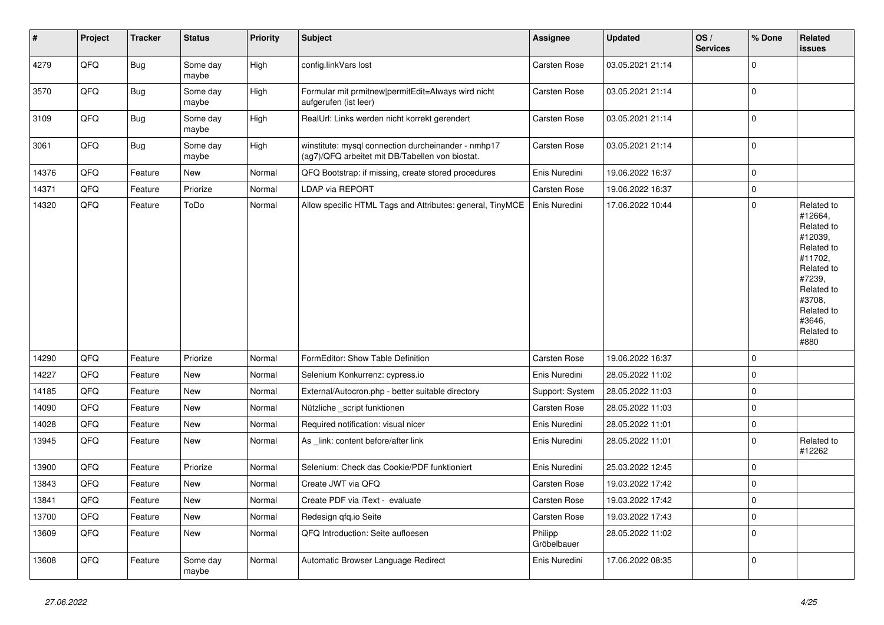| $\vert$ # | Project | <b>Tracker</b> | <b>Status</b>     | <b>Priority</b> | <b>Subject</b>                                                                                         | <b>Assignee</b>        | <b>Updated</b>   | OS/<br><b>Services</b> | % Done      | Related<br>issues                                                                                                                                                     |
|-----------|---------|----------------|-------------------|-----------------|--------------------------------------------------------------------------------------------------------|------------------------|------------------|------------------------|-------------|-----------------------------------------------------------------------------------------------------------------------------------------------------------------------|
| 4279      | QFQ     | Bug            | Some day<br>maybe | High            | config.linkVars lost                                                                                   | Carsten Rose           | 03.05.2021 21:14 |                        | $\Omega$    |                                                                                                                                                                       |
| 3570      | QFQ     | Bug            | Some dav<br>maybe | High            | Formular mit prmitnew permitEdit=Always wird nicht<br>aufgerufen (ist leer)                            | <b>Carsten Rose</b>    | 03.05.2021 21:14 |                        | $\mathbf 0$ |                                                                                                                                                                       |
| 3109      | QFQ     | <b>Bug</b>     | Some day<br>maybe | High            | RealUrl: Links werden nicht korrekt gerendert                                                          | Carsten Rose           | 03.05.2021 21:14 |                        | $\mathbf 0$ |                                                                                                                                                                       |
| 3061      | QFQ     | <b>Bug</b>     | Some day<br>maybe | High            | winstitute: mysql connection durcheinander - nmhp17<br>(ag7)/QFQ arbeitet mit DB/Tabellen von biostat. | <b>Carsten Rose</b>    | 03.05.2021 21:14 |                        | $\mathbf 0$ |                                                                                                                                                                       |
| 14376     | QFQ     | Feature        | <b>New</b>        | Normal          | QFQ Bootstrap: if missing, create stored procedures                                                    | Enis Nuredini          | 19.06.2022 16:37 |                        | $\mathbf 0$ |                                                                                                                                                                       |
| 14371     | QFQ     | Feature        | Priorize          | Normal          | <b>LDAP via REPORT</b>                                                                                 | Carsten Rose           | 19.06.2022 16:37 |                        | $\mathbf 0$ |                                                                                                                                                                       |
| 14320     | QFQ     | Feature        | ToDo              | Normal          | Allow specific HTML Tags and Attributes: general, TinyMCE                                              | Enis Nuredini          | 17.06.2022 10:44 |                        | $\mathbf 0$ | Related to<br>#12664,<br>Related to<br>#12039,<br>Related to<br>#11702,<br>Related to<br>#7239,<br>Related to<br>#3708,<br>Related to<br>#3646,<br>Related to<br>#880 |
| 14290     | QFQ     | Feature        | Priorize          | Normal          | FormEditor: Show Table Definition                                                                      | Carsten Rose           | 19.06.2022 16:37 |                        | $\mathbf 0$ |                                                                                                                                                                       |
| 14227     | QFQ     | Feature        | <b>New</b>        | Normal          | Selenium Konkurrenz: cypress.io                                                                        | Enis Nuredini          | 28.05.2022 11:02 |                        | $\mathbf 0$ |                                                                                                                                                                       |
| 14185     | QFQ     | Feature        | New               | Normal          | External/Autocron.php - better suitable directory                                                      | Support: System        | 28.05.2022 11:03 |                        | $\mathbf 0$ |                                                                                                                                                                       |
| 14090     | QFQ     | Feature        | <b>New</b>        | Normal          | Nützliche _script funktionen                                                                           | Carsten Rose           | 28.05.2022 11:03 |                        | $\mathbf 0$ |                                                                                                                                                                       |
| 14028     | QFQ     | Feature        | <b>New</b>        | Normal          | Required notification: visual nicer                                                                    | Enis Nuredini          | 28.05.2022 11:01 |                        | $\pmb{0}$   |                                                                                                                                                                       |
| 13945     | QFQ     | Feature        | New               | Normal          | As _link: content before/after link                                                                    | Enis Nuredini          | 28.05.2022 11:01 |                        | $\mathbf 0$ | Related to<br>#12262                                                                                                                                                  |
| 13900     | QFQ     | Feature        | Priorize          | Normal          | Selenium: Check das Cookie/PDF funktioniert                                                            | Enis Nuredini          | 25.03.2022 12:45 |                        | $\mathbf 0$ |                                                                                                                                                                       |
| 13843     | QFQ     | Feature        | <b>New</b>        | Normal          | Create JWT via QFQ                                                                                     | <b>Carsten Rose</b>    | 19.03.2022 17:42 |                        | $\mathbf 0$ |                                                                                                                                                                       |
| 13841     | QFQ     | Feature        | <b>New</b>        | Normal          | Create PDF via iText - evaluate                                                                        | Carsten Rose           | 19.03.2022 17:42 |                        | $\mathbf 0$ |                                                                                                                                                                       |
| 13700     | QFQ     | Feature        | <b>New</b>        | Normal          | Redesign qfq.io Seite                                                                                  | Carsten Rose           | 19.03.2022 17:43 |                        | $\mathbf 0$ |                                                                                                                                                                       |
| 13609     | QFQ     | Feature        | New               | Normal          | QFQ Introduction: Seite aufloesen                                                                      | Philipp<br>Gröbelbauer | 28.05.2022 11:02 |                        | $\mathbf 0$ |                                                                                                                                                                       |
| 13608     | QFQ     | Feature        | Some day<br>maybe | Normal          | Automatic Browser Language Redirect                                                                    | Enis Nuredini          | 17.06.2022 08:35 |                        | $\mathbf 0$ |                                                                                                                                                                       |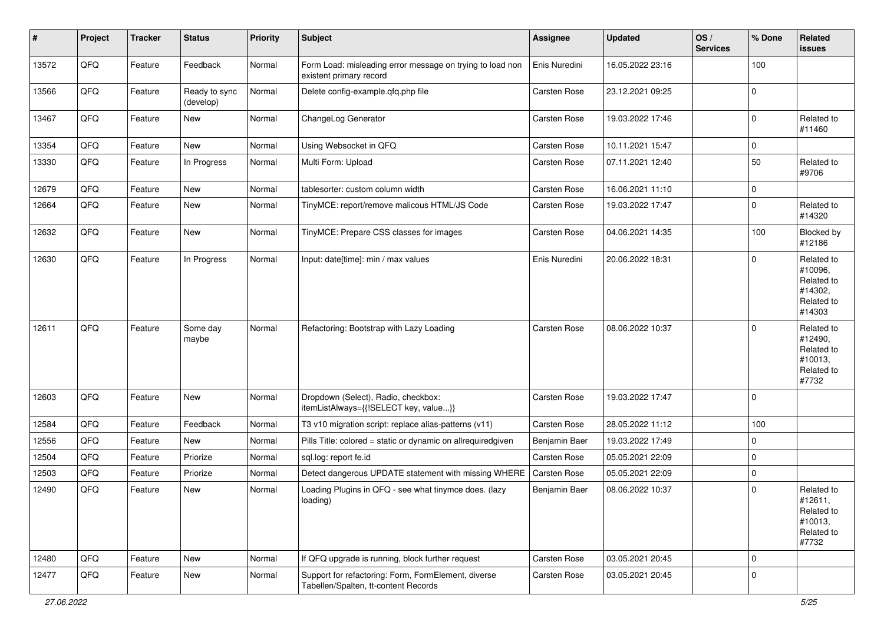| #     | Project | <b>Tracker</b> | <b>Status</b>              | <b>Priority</b> | <b>Subject</b>                                                                              | <b>Assignee</b> | <b>Updated</b>   | OS/<br><b>Services</b> | % Done      | Related<br>issues                                                      |
|-------|---------|----------------|----------------------------|-----------------|---------------------------------------------------------------------------------------------|-----------------|------------------|------------------------|-------------|------------------------------------------------------------------------|
| 13572 | QFQ     | Feature        | Feedback                   | Normal          | Form Load: misleading error message on trying to load non<br>existent primary record        | Enis Nuredini   | 16.05.2022 23:16 |                        | 100         |                                                                        |
| 13566 | QFQ     | Feature        | Ready to sync<br>(develop) | Normal          | Delete config-example.qfq.php file                                                          | Carsten Rose    | 23.12.2021 09:25 |                        | $\mathbf 0$ |                                                                        |
| 13467 | QFQ     | Feature        | New                        | Normal          | ChangeLog Generator                                                                         | Carsten Rose    | 19.03.2022 17:46 |                        | $\mathbf 0$ | Related to<br>#11460                                                   |
| 13354 | QFQ     | Feature        | New                        | Normal          | Using Websocket in QFQ                                                                      | Carsten Rose    | 10.11.2021 15:47 |                        | 0           |                                                                        |
| 13330 | QFQ     | Feature        | In Progress                | Normal          | Multi Form: Upload                                                                          | Carsten Rose    | 07.11.2021 12:40 |                        | 50          | Related to<br>#9706                                                    |
| 12679 | QFQ     | Feature        | New                        | Normal          | tablesorter: custom column width                                                            | Carsten Rose    | 16.06.2021 11:10 |                        | 0           |                                                                        |
| 12664 | QFQ     | Feature        | New                        | Normal          | TinyMCE: report/remove malicous HTML/JS Code                                                | Carsten Rose    | 19.03.2022 17:47 |                        | $\mathbf 0$ | Related to<br>#14320                                                   |
| 12632 | QFQ     | Feature        | New                        | Normal          | TinyMCE: Prepare CSS classes for images                                                     | Carsten Rose    | 04.06.2021 14:35 |                        | 100         | Blocked by<br>#12186                                                   |
| 12630 | QFQ     | Feature        | In Progress                | Normal          | Input: date[time]: min / max values                                                         | Enis Nuredini   | 20.06.2022 18:31 |                        | $\Omega$    | Related to<br>#10096,<br>Related to<br>#14302,<br>Related to<br>#14303 |
| 12611 | QFQ     | Feature        | Some day<br>maybe          | Normal          | Refactoring: Bootstrap with Lazy Loading                                                    | Carsten Rose    | 08.06.2022 10:37 |                        | $\mathbf 0$ | Related to<br>#12490,<br>Related to<br>#10013,<br>Related to<br>#7732  |
| 12603 | QFQ     | Feature        | New                        | Normal          | Dropdown (Select), Radio, checkbox:<br>itemListAlways={{!SELECT key, value}}                | Carsten Rose    | 19.03.2022 17:47 |                        | $\mathbf 0$ |                                                                        |
| 12584 | QFQ     | Feature        | Feedback                   | Normal          | T3 v10 migration script: replace alias-patterns (v11)                                       | Carsten Rose    | 28.05.2022 11:12 |                        | 100         |                                                                        |
| 12556 | QFQ     | Feature        | New                        | Normal          | Pills Title: colored = static or dynamic on allrequiredgiven                                | Benjamin Baer   | 19.03.2022 17:49 |                        | 0           |                                                                        |
| 12504 | QFQ     | Feature        | Priorize                   | Normal          | sql.log: report fe.id                                                                       | Carsten Rose    | 05.05.2021 22:09 |                        | $\mathbf 0$ |                                                                        |
| 12503 | QFQ     | Feature        | Priorize                   | Normal          | Detect dangerous UPDATE statement with missing WHERE                                        | Carsten Rose    | 05.05.2021 22:09 |                        | $\mathbf 0$ |                                                                        |
| 12490 | QFQ     | Feature        | New                        | Normal          | Loading Plugins in QFQ - see what tinymce does. (lazy<br>loading)                           | Benjamin Baer   | 08.06.2022 10:37 |                        | $\mathbf 0$ | Related to<br>#12611,<br>Related to<br>#10013,<br>Related to<br>#7732  |
| 12480 | QFQ     | Feature        | New                        | Normal          | If QFQ upgrade is running, block further request                                            | Carsten Rose    | 03.05.2021 20:45 |                        | 0           |                                                                        |
| 12477 | QFQ     | Feature        | New                        | Normal          | Support for refactoring: Form, FormElement, diverse<br>Tabellen/Spalten, tt-content Records | Carsten Rose    | 03.05.2021 20:45 |                        | $\mathbf 0$ |                                                                        |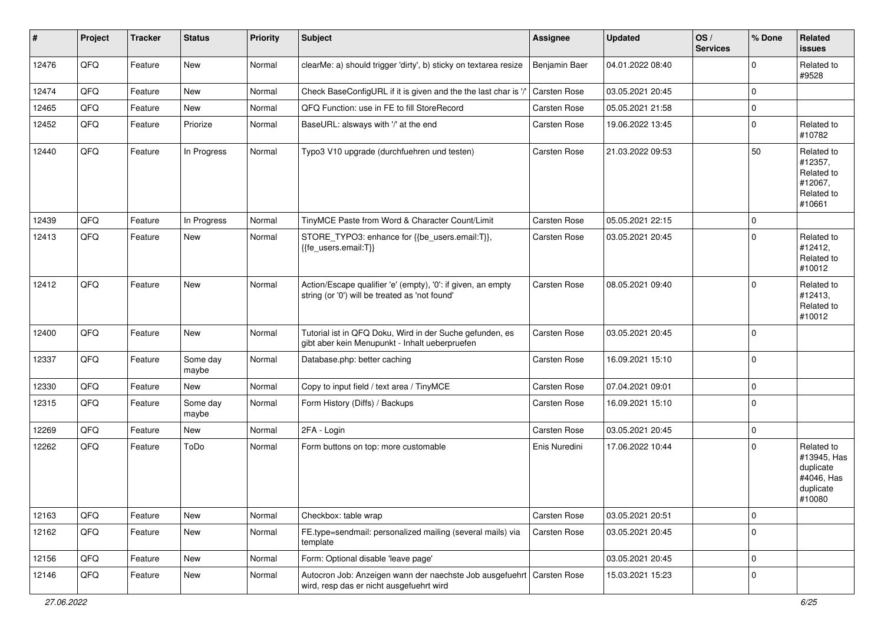| $\vert$ # | Project | <b>Tracker</b> | <b>Status</b>     | Priority | <b>Subject</b>                                                                                                      | Assignee      | <b>Updated</b>   | OS/<br><b>Services</b> | % Done      | Related<br><b>issues</b>                                                    |
|-----------|---------|----------------|-------------------|----------|---------------------------------------------------------------------------------------------------------------------|---------------|------------------|------------------------|-------------|-----------------------------------------------------------------------------|
| 12476     | QFQ     | Feature        | New               | Normal   | clearMe: a) should trigger 'dirty', b) sticky on textarea resize                                                    | Benjamin Baer | 04.01.2022 08:40 |                        | $\Omega$    | Related to<br>#9528                                                         |
| 12474     | QFQ     | Feature        | New               | Normal   | Check BaseConfigURL if it is given and the the last char is '/                                                      | Carsten Rose  | 03.05.2021 20:45 |                        | 0           |                                                                             |
| 12465     | QFQ     | Feature        | New               | Normal   | QFQ Function: use in FE to fill StoreRecord                                                                         | Carsten Rose  | 05.05.2021 21:58 |                        | 0           |                                                                             |
| 12452     | QFQ     | Feature        | Priorize          | Normal   | BaseURL: alsways with '/' at the end                                                                                | Carsten Rose  | 19.06.2022 13:45 |                        | 0           | Related to<br>#10782                                                        |
| 12440     | QFQ     | Feature        | In Progress       | Normal   | Typo3 V10 upgrade (durchfuehren und testen)                                                                         | Carsten Rose  | 21.03.2022 09:53 |                        | 50          | Related to<br>#12357,<br>Related to<br>#12067,<br>Related to<br>#10661      |
| 12439     | QFQ     | Feature        | In Progress       | Normal   | TinyMCE Paste from Word & Character Count/Limit                                                                     | Carsten Rose  | 05.05.2021 22:15 |                        | 0           |                                                                             |
| 12413     | QFQ     | Feature        | New               | Normal   | STORE_TYPO3: enhance for {{be_users.email:T}},<br>{{fe_users.email:T}}                                              | Carsten Rose  | 03.05.2021 20:45 |                        | 0           | Related to<br>#12412,<br>Related to<br>#10012                               |
| 12412     | QFQ     | Feature        | New               | Normal   | Action/Escape qualifier 'e' (empty), '0': if given, an empty<br>string (or '0') will be treated as 'not found'      | Carsten Rose  | 08.05.2021 09:40 |                        | $\Omega$    | Related to<br>#12413,<br>Related to<br>#10012                               |
| 12400     | QFQ     | Feature        | New               | Normal   | Tutorial ist in QFQ Doku, Wird in der Suche gefunden, es<br>gibt aber kein Menupunkt - Inhalt ueberpruefen          | Carsten Rose  | 03.05.2021 20:45 |                        | 0           |                                                                             |
| 12337     | QFQ     | Feature        | Some day<br>maybe | Normal   | Database.php: better caching                                                                                        | Carsten Rose  | 16.09.2021 15:10 |                        | 0           |                                                                             |
| 12330     | QFQ     | Feature        | <b>New</b>        | Normal   | Copy to input field / text area / TinyMCE                                                                           | Carsten Rose  | 07.04.2021 09:01 |                        | 0           |                                                                             |
| 12315     | QFQ     | Feature        | Some day<br>maybe | Normal   | Form History (Diffs) / Backups                                                                                      | Carsten Rose  | 16.09.2021 15:10 |                        | $\Omega$    |                                                                             |
| 12269     | QFQ     | Feature        | <b>New</b>        | Normal   | 2FA - Login                                                                                                         | Carsten Rose  | 03.05.2021 20:45 |                        | $\mathbf 0$ |                                                                             |
| 12262     | QFQ     | Feature        | ToDo              | Normal   | Form buttons on top: more customable                                                                                | Enis Nuredini | 17.06.2022 10:44 |                        | 0           | Related to<br>#13945, Has<br>duplicate<br>#4046, Has<br>duplicate<br>#10080 |
| 12163     | QFQ     | Feature        | New               | Normal   | Checkbox: table wrap                                                                                                | Carsten Rose  | 03.05.2021 20:51 |                        | 0           |                                                                             |
| 12162     | QFQ     | Feature        | New               | Normal   | FE.type=sendmail: personalized mailing (several mails) via<br>template                                              | Carsten Rose  | 03.05.2021 20:45 |                        | $\mathbf 0$ |                                                                             |
| 12156     | QFQ     | Feature        | New               | Normal   | Form: Optional disable 'leave page'                                                                                 |               | 03.05.2021 20:45 |                        | 0           |                                                                             |
| 12146     | QFQ     | Feature        | New               | Normal   | Autocron Job: Anzeigen wann der naechste Job ausgefuehrt   Carsten Rose<br>wird, resp das er nicht ausgefuehrt wird |               | 15.03.2021 15:23 |                        | 0           |                                                                             |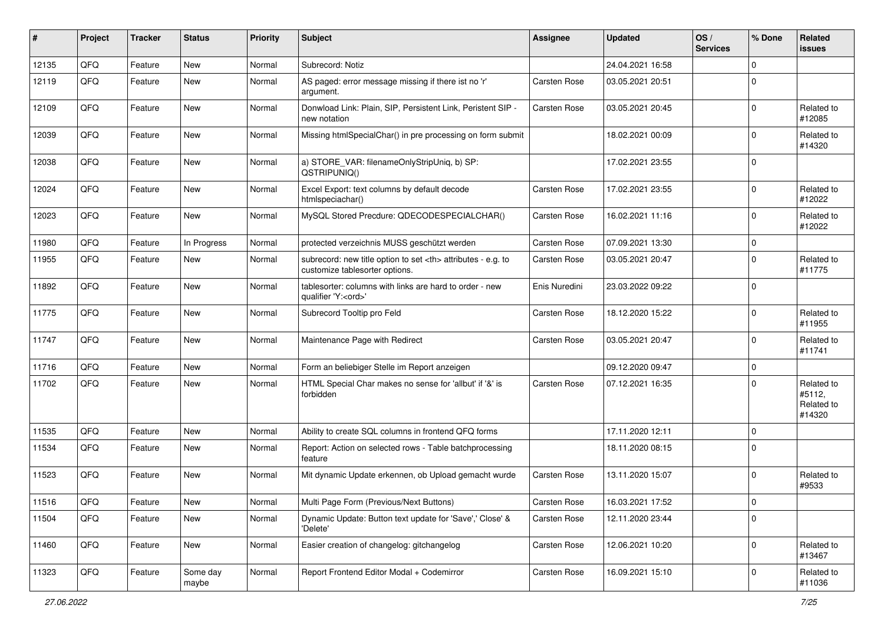| ∦     | Project | <b>Tracker</b> | <b>Status</b>     | <b>Priority</b> | Subject                                                                                              | <b>Assignee</b>                                        | <b>Updated</b>   | OS/<br><b>Services</b> | % Done      | Related<br>issues                            |                      |
|-------|---------|----------------|-------------------|-----------------|------------------------------------------------------------------------------------------------------|--------------------------------------------------------|------------------|------------------------|-------------|----------------------------------------------|----------------------|
| 12135 | QFQ     | Feature        | New               | Normal          | Subrecord: Notiz                                                                                     |                                                        | 24.04.2021 16:58 |                        | $\Omega$    |                                              |                      |
| 12119 | QFQ     | Feature        | New               | Normal          | AS paged: error message missing if there ist no 'r'<br>argument.                                     | Carsten Rose                                           | 03.05.2021 20:51 |                        | $\mathbf 0$ |                                              |                      |
| 12109 | QFQ     | Feature        | <b>New</b>        | Normal          | Donwload Link: Plain, SIP, Persistent Link, Peristent SIP -<br>new notation                          | Carsten Rose                                           | 03.05.2021 20:45 |                        | $\Omega$    | Related to<br>#12085                         |                      |
| 12039 | QFQ     | Feature        | New               | Normal          | Missing htmlSpecialChar() in pre processing on form submit                                           |                                                        | 18.02.2021 00:09 |                        | $\Omega$    | Related to<br>#14320                         |                      |
| 12038 | QFQ     | Feature        | New               | Normal          | a) STORE_VAR: filenameOnlyStripUniq, b) SP:<br>QSTRIPUNIQ()                                          |                                                        | 17.02.2021 23:55 |                        | $\Omega$    |                                              |                      |
| 12024 | QFQ     | Feature        | New               | Normal          | Excel Export: text columns by default decode<br>htmlspeciachar()                                     | Carsten Rose                                           | 17.02.2021 23:55 |                        | $\mathbf 0$ | Related to<br>#12022                         |                      |
| 12023 | QFQ     | Feature        | New               | Normal          | MySQL Stored Precdure: QDECODESPECIALCHAR()                                                          | Carsten Rose                                           | 16.02.2021 11:16 |                        | $\Omega$    | Related to<br>#12022                         |                      |
| 11980 | QFQ     | Feature        | In Progress       | Normal          | protected verzeichnis MUSS geschützt werden                                                          | Carsten Rose                                           | 07.09.2021 13:30 |                        | $\pmb{0}$   |                                              |                      |
| 11955 | QFQ     | Feature        | New               | Normal          | subrecord: new title option to set <th> attributes - e.g. to<br/>customize tablesorter options.</th> | attributes - e.g. to<br>customize tablesorter options. | Carsten Rose     | 03.05.2021 20:47       |             | $\Omega$                                     | Related to<br>#11775 |
| 11892 | QFQ     | Feature        | New               | Normal          | tablesorter: columns with links are hard to order - new<br>qualifier 'Y: <ord>'</ord>                | Enis Nuredini                                          | 23.03.2022 09:22 |                        | $\Omega$    |                                              |                      |
| 11775 | QFQ     | Feature        | New               | Normal          | Subrecord Tooltip pro Feld                                                                           | Carsten Rose                                           | 18.12.2020 15:22 |                        | $\Omega$    | Related to<br>#11955                         |                      |
| 11747 | QFQ     | Feature        | New               | Normal          | Maintenance Page with Redirect                                                                       | Carsten Rose                                           | 03.05.2021 20:47 |                        | $\mathbf 0$ | Related to<br>#11741                         |                      |
| 11716 | QFQ     | Feature        | New               | Normal          | Form an beliebiger Stelle im Report anzeigen                                                         |                                                        | 09.12.2020 09:47 |                        | $\mathbf 0$ |                                              |                      |
| 11702 | QFQ     | Feature        | New               | Normal          | HTML Special Char makes no sense for 'allbut' if '&' is<br>forbidden                                 | Carsten Rose                                           | 07.12.2021 16:35 |                        | $\Omega$    | Related to<br>#5112,<br>Related to<br>#14320 |                      |
| 11535 | QFQ     | Feature        | New               | Normal          | Ability to create SQL columns in frontend QFQ forms                                                  |                                                        | 17.11.2020 12:11 |                        | $\mathbf 0$ |                                              |                      |
| 11534 | QFQ     | Feature        | New               | Normal          | Report: Action on selected rows - Table batchprocessing<br>feature                                   |                                                        | 18.11.2020 08:15 |                        | $\Omega$    |                                              |                      |
| 11523 | QFQ     | Feature        | New               | Normal          | Mit dynamic Update erkennen, ob Upload gemacht wurde                                                 | Carsten Rose                                           | 13.11.2020 15:07 |                        | $\Omega$    | Related to<br>#9533                          |                      |
| 11516 | QFQ     | Feature        | New               | Normal          | Multi Page Form (Previous/Next Buttons)                                                              | Carsten Rose                                           | 16.03.2021 17:52 |                        | O           |                                              |                      |
| 11504 | QFQ     | Feature        | New               | Normal          | Dynamic Update: Button text update for 'Save',' Close' &<br>'Delete'                                 | Carsten Rose                                           | 12.11.2020 23:44 |                        | $\mathbf 0$ |                                              |                      |
| 11460 | QFQ     | Feature        | New               | Normal          | Easier creation of changelog: gitchangelog                                                           | Carsten Rose                                           | 12.06.2021 10:20 |                        | $\mathbf 0$ | Related to<br>#13467                         |                      |
| 11323 | QFQ     | Feature        | Some day<br>maybe | Normal          | Report Frontend Editor Modal + Codemirror                                                            | Carsten Rose                                           | 16.09.2021 15:10 |                        | 0           | Related to<br>#11036                         |                      |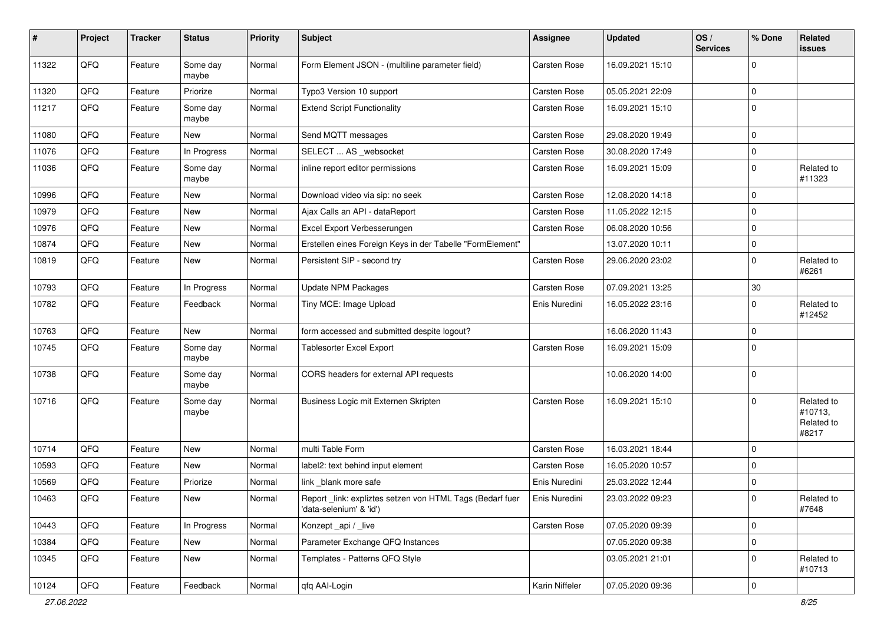| $\sharp$ | Project | <b>Tracker</b> | <b>Status</b>     | <b>Priority</b> | <b>Subject</b>                                                                      | Assignee       | Updated          | OS/<br><b>Services</b> | % Done      | Related<br>issues                            |
|----------|---------|----------------|-------------------|-----------------|-------------------------------------------------------------------------------------|----------------|------------------|------------------------|-------------|----------------------------------------------|
| 11322    | QFQ     | Feature        | Some day<br>maybe | Normal          | Form Element JSON - (multiline parameter field)                                     | Carsten Rose   | 16.09.2021 15:10 |                        | $\Omega$    |                                              |
| 11320    | QFQ     | Feature        | Priorize          | Normal          | Typo3 Version 10 support                                                            | Carsten Rose   | 05.05.2021 22:09 |                        | $\mathbf 0$ |                                              |
| 11217    | QFQ     | Feature        | Some day<br>maybe | Normal          | <b>Extend Script Functionality</b>                                                  | Carsten Rose   | 16.09.2021 15:10 |                        | $\Omega$    |                                              |
| 11080    | QFQ     | Feature        | New               | Normal          | Send MQTT messages                                                                  | Carsten Rose   | 29.08.2020 19:49 |                        | $\mathbf 0$ |                                              |
| 11076    | QFQ     | Feature        | In Progress       | Normal          | SELECT  AS _websocket                                                               | Carsten Rose   | 30.08.2020 17:49 |                        | $\mathbf 0$ |                                              |
| 11036    | QFQ     | Feature        | Some day<br>maybe | Normal          | inline report editor permissions                                                    | Carsten Rose   | 16.09.2021 15:09 |                        | $\Omega$    | Related to<br>#11323                         |
| 10996    | QFQ     | Feature        | New               | Normal          | Download video via sip: no seek                                                     | Carsten Rose   | 12.08.2020 14:18 |                        | $\mathbf 0$ |                                              |
| 10979    | QFQ     | Feature        | New               | Normal          | Ajax Calls an API - dataReport                                                      | Carsten Rose   | 11.05.2022 12:15 |                        | $\Omega$    |                                              |
| 10976    | QFQ     | Feature        | New               | Normal          | Excel Export Verbesserungen                                                         | Carsten Rose   | 06.08.2020 10:56 |                        | $\Omega$    |                                              |
| 10874    | QFQ     | Feature        | New               | Normal          | Erstellen eines Foreign Keys in der Tabelle "FormElement"                           |                | 13.07.2020 10:11 |                        | $\mathbf 0$ |                                              |
| 10819    | QFQ     | Feature        | New               | Normal          | Persistent SIP - second try                                                         | Carsten Rose   | 29.06.2020 23:02 |                        | $\mathbf 0$ | Related to<br>#6261                          |
| 10793    | QFQ     | Feature        | In Progress       | Normal          | Update NPM Packages                                                                 | Carsten Rose   | 07.09.2021 13:25 |                        | $30\,$      |                                              |
| 10782    | QFQ     | Feature        | Feedback          | Normal          | Tiny MCE: Image Upload                                                              | Enis Nuredini  | 16.05.2022 23:16 |                        | $\Omega$    | Related to<br>#12452                         |
| 10763    | QFQ     | Feature        | New               | Normal          | form accessed and submitted despite logout?                                         |                | 16.06.2020 11:43 |                        | $\mathbf 0$ |                                              |
| 10745    | QFQ     | Feature        | Some day<br>maybe | Normal          | Tablesorter Excel Export                                                            | Carsten Rose   | 16.09.2021 15:09 |                        | $\Omega$    |                                              |
| 10738    | QFQ     | Feature        | Some day<br>maybe | Normal          | CORS headers for external API requests                                              |                | 10.06.2020 14:00 |                        | $\mathbf 0$ |                                              |
| 10716    | QFQ     | Feature        | Some day<br>maybe | Normal          | Business Logic mit Externen Skripten                                                | Carsten Rose   | 16.09.2021 15:10 |                        | $\Omega$    | Related to<br>#10713,<br>Related to<br>#8217 |
| 10714    | QFQ     | Feature        | New               | Normal          | multi Table Form                                                                    | Carsten Rose   | 16.03.2021 18:44 |                        | $\Omega$    |                                              |
| 10593    | QFQ     | Feature        | New               | Normal          | label2: text behind input element                                                   | Carsten Rose   | 16.05.2020 10:57 |                        | 0           |                                              |
| 10569    | QFQ     | Feature        | Priorize          | Normal          | link _blank more safe                                                               | Enis Nuredini  | 25.03.2022 12:44 |                        | $\mathbf 0$ |                                              |
| 10463    | QFQ     | Feature        | New               | Normal          | Report_link: expliztes setzen von HTML Tags (Bedarf fuer<br>'data-selenium' & 'id') | Enis Nuredini  | 23.03.2022 09:23 |                        | $\pmb{0}$   | Related to<br>#7648                          |
| 10443    | QFQ     | Feature        | In Progress       | Normal          | Konzept_api / _live                                                                 | Carsten Rose   | 07.05.2020 09:39 |                        | $\mathbf 0$ |                                              |
| 10384    | QFQ     | Feature        | New               | Normal          | Parameter Exchange QFQ Instances                                                    |                | 07.05.2020 09:38 |                        | $\pmb{0}$   |                                              |
| 10345    | QFQ     | Feature        | New               | Normal          | Templates - Patterns QFQ Style                                                      |                | 03.05.2021 21:01 |                        | 0           | Related to<br>#10713                         |
| 10124    | QFQ     | Feature        | Feedback          | Normal          | qfq AAI-Login                                                                       | Karin Niffeler | 07.05.2020 09:36 |                        | $\mathbf 0$ |                                              |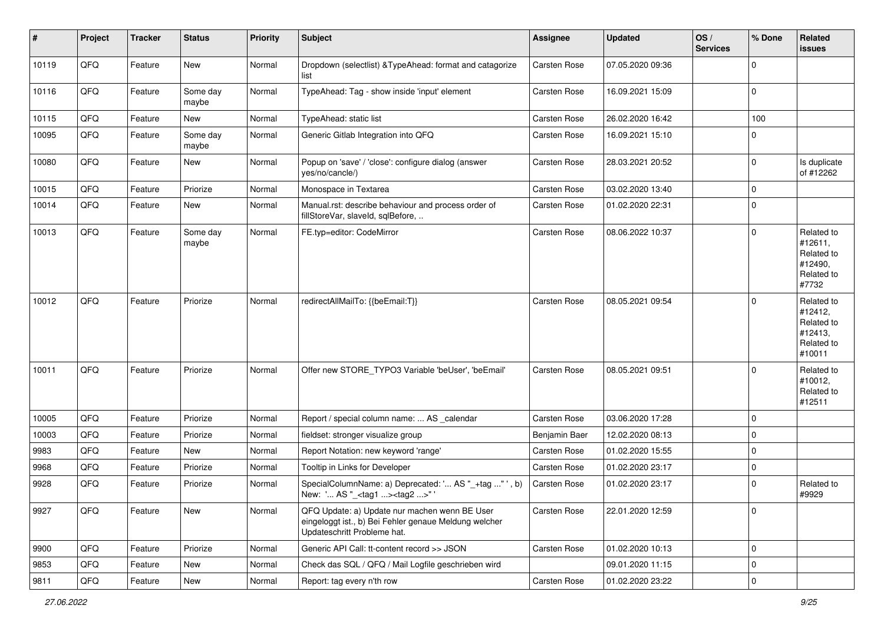| $\sharp$ | Project        | <b>Tracker</b> | <b>Status</b>     | <b>Priority</b> | <b>Subject</b>                                                                                                                        | <b>Assignee</b> | <b>Updated</b>   | OS/<br><b>Services</b> | % Done      | Related<br>issues                                                      |
|----------|----------------|----------------|-------------------|-----------------|---------------------------------------------------------------------------------------------------------------------------------------|-----------------|------------------|------------------------|-------------|------------------------------------------------------------------------|
| 10119    | QFQ            | Feature        | New               | Normal          | Dropdown (selectlist) & TypeAhead: format and catagorize<br>list                                                                      | Carsten Rose    | 07.05.2020 09:36 |                        | $\Omega$    |                                                                        |
| 10116    | QFQ            | Feature        | Some day<br>maybe | Normal          | TypeAhead: Tag - show inside 'input' element                                                                                          | Carsten Rose    | 16.09.2021 15:09 |                        | $\mathbf 0$ |                                                                        |
| 10115    | QFQ            | Feature        | New               | Normal          | TypeAhead: static list                                                                                                                | Carsten Rose    | 26.02.2020 16:42 |                        | 100         |                                                                        |
| 10095    | QFQ            | Feature        | Some day<br>maybe | Normal          | Generic Gitlab Integration into QFQ                                                                                                   | Carsten Rose    | 16.09.2021 15:10 |                        | $\Omega$    |                                                                        |
| 10080    | QFQ            | Feature        | New               | Normal          | Popup on 'save' / 'close': configure dialog (answer<br>yes/no/cancle/)                                                                | Carsten Rose    | 28.03.2021 20:52 |                        | $\mathbf 0$ | Is duplicate<br>of #12262                                              |
| 10015    | QFQ            | Feature        | Priorize          | Normal          | Monospace in Textarea                                                                                                                 | Carsten Rose    | 03.02.2020 13:40 |                        | 0           |                                                                        |
| 10014    | QFQ            | Feature        | New               | Normal          | Manual.rst: describe behaviour and process order of<br>fillStoreVar, slaveId, sqlBefore,                                              | Carsten Rose    | 01.02.2020 22:31 |                        | $\mathbf 0$ |                                                                        |
| 10013    | QFQ            | Feature        | Some day<br>maybe | Normal          | FE.typ=editor: CodeMirror                                                                                                             | Carsten Rose    | 08.06.2022 10:37 |                        | $\mathbf 0$ | Related to<br>#12611,<br>Related to<br>#12490,<br>Related to<br>#7732  |
| 10012    | QFQ            | Feature        | Priorize          | Normal          | redirectAllMailTo: {{beEmail:T}}                                                                                                      | Carsten Rose    | 08.05.2021 09:54 |                        | $\Omega$    | Related to<br>#12412,<br>Related to<br>#12413,<br>Related to<br>#10011 |
| 10011    | QFQ            | Feature        | Priorize          | Normal          | Offer new STORE TYPO3 Variable 'beUser', 'beEmail'                                                                                    | Carsten Rose    | 08.05.2021 09:51 |                        | $\Omega$    | Related to<br>#10012,<br>Related to<br>#12511                          |
| 10005    | QFQ            | Feature        | Priorize          | Normal          | Report / special column name:  AS _calendar                                                                                           | Carsten Rose    | 03.06.2020 17:28 |                        | $\mathbf 0$ |                                                                        |
| 10003    | QFQ            | Feature        | Priorize          | Normal          | fieldset: stronger visualize group                                                                                                    | Benjamin Baer   | 12.02.2020 08:13 |                        | 0           |                                                                        |
| 9983     | QFQ            | Feature        | New               | Normal          | Report Notation: new keyword 'range'                                                                                                  | Carsten Rose    | 01.02.2020 15:55 |                        | $\mathbf 0$ |                                                                        |
| 9968     | QFQ            | Feature        | Priorize          | Normal          | Tooltip in Links for Developer                                                                                                        | Carsten Rose    | 01.02.2020 23:17 |                        | $\mathbf 0$ |                                                                        |
| 9928     | QFQ            | Feature        | Priorize          | Normal          | SpecialColumnName: a) Deprecated: ' AS "_+tag " ', b)<br>New: ' AS "_ <tag1><tag2>"'</tag2></tag1>                                    | Carsten Rose    | 01.02.2020 23:17 |                        | $\mathbf 0$ | Related to<br>#9929                                                    |
| 9927     | QFQ            | Feature        | New               | Normal          | QFQ Update: a) Update nur machen wenn BE User<br>eingeloggt ist., b) Bei Fehler genaue Meldung welcher<br>Updateschritt Probleme hat. | Carsten Rose    | 22.01.2020 12:59 |                        | $\mathbf 0$ |                                                                        |
| 9900     | QFQ            | Feature        | Priorize          | Normal          | Generic API Call: tt-content record >> JSON                                                                                           | Carsten Rose    | 01.02.2020 10:13 |                        | $\mathbf 0$ |                                                                        |
| 9853     | QFQ            | Feature        | New               | Normal          | Check das SQL / QFQ / Mail Logfile geschrieben wird                                                                                   |                 | 09.01.2020 11:15 |                        | $\mathbf 0$ |                                                                        |
| 9811     | $\mathsf{QFQ}$ | Feature        | New               | Normal          | Report: tag every n'th row                                                                                                            | Carsten Rose    | 01.02.2020 23:22 |                        | $\mathsf 0$ |                                                                        |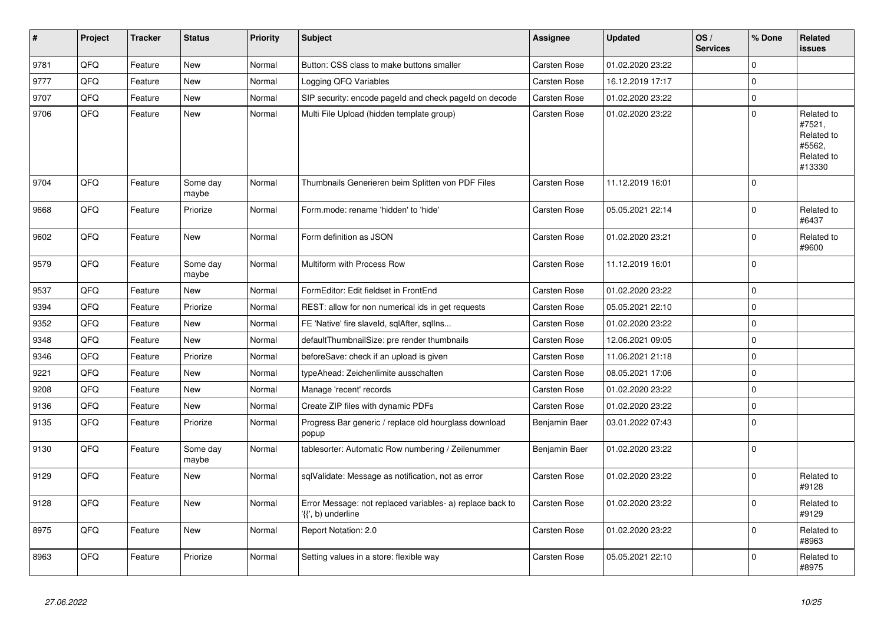| $\vert$ # | <b>Project</b> | <b>Tracker</b> | <b>Status</b>     | <b>Priority</b> | <b>Subject</b>                                                                  | Assignee            | <b>Updated</b>   | OS/<br><b>Services</b> | % Done         | Related<br><b>issues</b>                                             |
|-----------|----------------|----------------|-------------------|-----------------|---------------------------------------------------------------------------------|---------------------|------------------|------------------------|----------------|----------------------------------------------------------------------|
| 9781      | QFQ            | Feature        | <b>New</b>        | Normal          | Button: CSS class to make buttons smaller                                       | <b>Carsten Rose</b> | 01.02.2020 23:22 |                        | $\Omega$       |                                                                      |
| 9777      | QFQ            | Feature        | New               | Normal          | Logging QFQ Variables                                                           | Carsten Rose        | 16.12.2019 17:17 |                        | $\mathbf 0$    |                                                                      |
| 9707      | QFQ            | Feature        | New               | Normal          | SIP security: encode pageld and check pageld on decode                          | <b>Carsten Rose</b> | 01.02.2020 23:22 |                        | $\mathbf 0$    |                                                                      |
| 9706      | QFQ            | Feature        | New               | Normal          | Multi File Upload (hidden template group)                                       | Carsten Rose        | 01.02.2020 23:22 |                        | $\overline{0}$ | Related to<br>#7521,<br>Related to<br>#5562,<br>Related to<br>#13330 |
| 9704      | QFQ            | Feature        | Some day<br>maybe | Normal          | Thumbnails Generieren beim Splitten von PDF Files                               | Carsten Rose        | 11.12.2019 16:01 |                        | $\Omega$       |                                                                      |
| 9668      | QFQ            | Feature        | Priorize          | Normal          | Form.mode: rename 'hidden' to 'hide'                                            | <b>Carsten Rose</b> | 05.05.2021 22:14 |                        | $\mathbf 0$    | Related to<br>#6437                                                  |
| 9602      | QFQ            | Feature        | <b>New</b>        | Normal          | Form definition as JSON                                                         | <b>Carsten Rose</b> | 01.02.2020 23:21 |                        | $\mathbf 0$    | Related to<br>#9600                                                  |
| 9579      | QFQ            | Feature        | Some day<br>maybe | Normal          | Multiform with Process Row                                                      | Carsten Rose        | 11.12.2019 16:01 |                        | $\Omega$       |                                                                      |
| 9537      | QFQ            | Feature        | New               | Normal          | FormEditor: Edit fieldset in FrontEnd                                           | <b>Carsten Rose</b> | 01.02.2020 23:22 |                        | $\mathbf 0$    |                                                                      |
| 9394      | QFQ            | Feature        | Priorize          | Normal          | REST: allow for non numerical ids in get requests                               | Carsten Rose        | 05.05.2021 22:10 |                        | $\mathbf 0$    |                                                                      |
| 9352      | QFQ            | Feature        | New               | Normal          | FE 'Native' fire slaveld, sqlAfter, sqlIns                                      | Carsten Rose        | 01.02.2020 23:22 |                        | $\mathbf 0$    |                                                                      |
| 9348      | QFQ            | Feature        | <b>New</b>        | Normal          | defaultThumbnailSize: pre render thumbnails                                     | <b>Carsten Rose</b> | 12.06.2021 09:05 |                        | $\mathbf 0$    |                                                                      |
| 9346      | QFQ            | Feature        | Priorize          | Normal          | beforeSave: check if an upload is given                                         | <b>Carsten Rose</b> | 11.06.2021 21:18 |                        | $\pmb{0}$      |                                                                      |
| 9221      | QFQ            | Feature        | New               | Normal          | typeAhead: Zeichenlimite ausschalten                                            | Carsten Rose        | 08.05.2021 17:06 |                        | $\mathbf 0$    |                                                                      |
| 9208      | QFQ            | Feature        | New               | Normal          | Manage 'recent' records                                                         | <b>Carsten Rose</b> | 01.02.2020 23:22 |                        | $\mathbf 0$    |                                                                      |
| 9136      | QFQ            | Feature        | New               | Normal          | Create ZIP files with dynamic PDFs                                              | <b>Carsten Rose</b> | 01.02.2020 23:22 |                        | $\pmb{0}$      |                                                                      |
| 9135      | QFQ            | Feature        | Priorize          | Normal          | Progress Bar generic / replace old hourglass download<br>popup                  | Benjamin Baer       | 03.01.2022 07:43 |                        | $\Omega$       |                                                                      |
| 9130      | QFQ            | Feature        | Some day<br>maybe | Normal          | tablesorter: Automatic Row numbering / Zeilenummer                              | Benjamin Baer       | 01.02.2020 23:22 |                        | $\mathbf 0$    |                                                                      |
| 9129      | QFQ            | Feature        | <b>New</b>        | Normal          | sqlValidate: Message as notification, not as error                              | <b>Carsten Rose</b> | 01.02.2020 23:22 |                        | $\mathbf 0$    | Related to<br>#9128                                                  |
| 9128      | QFQ            | Feature        | New               | Normal          | Error Message: not replaced variables- a) replace back to<br>'{{', b) underline | Carsten Rose        | 01.02.2020 23:22 |                        | $\mathbf 0$    | Related to<br>#9129                                                  |
| 8975      | QFQ            | Feature        | New               | Normal          | Report Notation: 2.0                                                            | Carsten Rose        | 01.02.2020 23:22 |                        | $\mathbf 0$    | Related to<br>#8963                                                  |
| 8963      | QFQ            | Feature        | Priorize          | Normal          | Setting values in a store: flexible way                                         | <b>Carsten Rose</b> | 05.05.2021 22:10 |                        | $\Omega$       | Related to<br>#8975                                                  |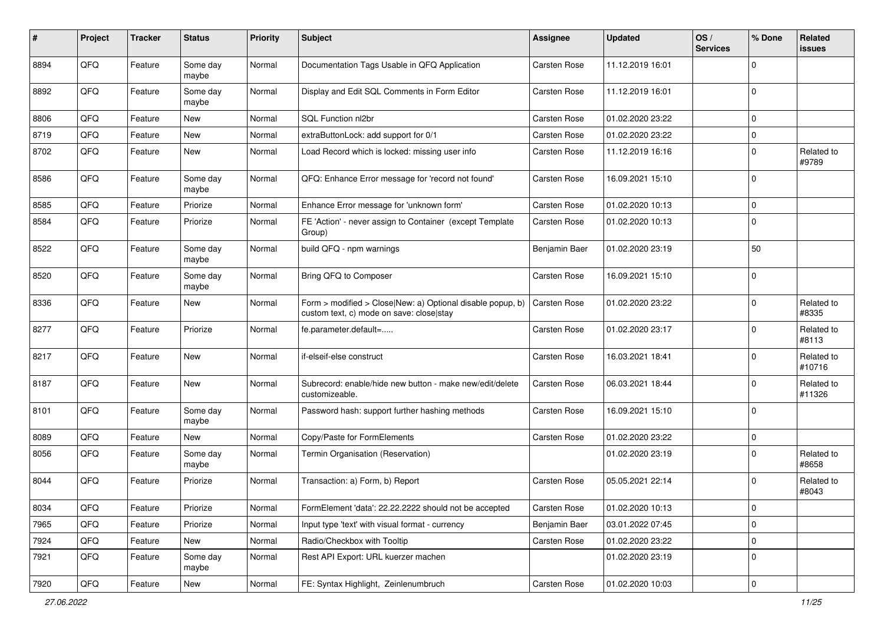| #    | Project | <b>Tracker</b> | <b>Status</b>     | <b>Priority</b> | Subject                                                                                                | Assignee      | <b>Updated</b>   | OS/<br><b>Services</b> | % Done      | Related<br>issues    |
|------|---------|----------------|-------------------|-----------------|--------------------------------------------------------------------------------------------------------|---------------|------------------|------------------------|-------------|----------------------|
| 8894 | QFQ     | Feature        | Some day<br>maybe | Normal          | Documentation Tags Usable in QFQ Application                                                           | Carsten Rose  | 11.12.2019 16:01 |                        | $\Omega$    |                      |
| 8892 | QFQ     | Feature        | Some day<br>maybe | Normal          | Display and Edit SQL Comments in Form Editor                                                           | Carsten Rose  | 11.12.2019 16:01 |                        | $\Omega$    |                      |
| 8806 | QFQ     | Feature        | New               | Normal          | SQL Function nl2br                                                                                     | Carsten Rose  | 01.02.2020 23:22 |                        | $\mathbf 0$ |                      |
| 8719 | QFQ     | Feature        | New               | Normal          | extraButtonLock: add support for 0/1                                                                   | Carsten Rose  | 01.02.2020 23:22 |                        | $\mathbf 0$ |                      |
| 8702 | QFQ     | Feature        | New               | Normal          | Load Record which is locked: missing user info                                                         | Carsten Rose  | 11.12.2019 16:16 |                        | 0           | Related to<br>#9789  |
| 8586 | QFQ     | Feature        | Some day<br>maybe | Normal          | QFQ: Enhance Error message for 'record not found'                                                      | Carsten Rose  | 16.09.2021 15:10 |                        | $\Omega$    |                      |
| 8585 | QFQ     | Feature        | Priorize          | Normal          | Enhance Error message for 'unknown form'                                                               | Carsten Rose  | 01.02.2020 10:13 |                        | $\Omega$    |                      |
| 8584 | QFQ     | Feature        | Priorize          | Normal          | FE 'Action' - never assign to Container (except Template<br>Group)                                     | Carsten Rose  | 01.02.2020 10:13 |                        | $\Omega$    |                      |
| 8522 | QFQ     | Feature        | Some day<br>maybe | Normal          | build QFQ - npm warnings                                                                               | Benjamin Baer | 01.02.2020 23:19 |                        | 50          |                      |
| 8520 | QFQ     | Feature        | Some day<br>maybe | Normal          | Bring QFQ to Composer                                                                                  | Carsten Rose  | 16.09.2021 15:10 |                        | $\Omega$    |                      |
| 8336 | QFQ     | Feature        | New               | Normal          | Form > modified > Close New: a) Optional disable popup, b)<br>custom text, c) mode on save: close stay | Carsten Rose  | 01.02.2020 23:22 |                        | 0           | Related to<br>#8335  |
| 8277 | QFQ     | Feature        | Priorize          | Normal          | fe.parameter.default=                                                                                  | Carsten Rose  | 01.02.2020 23:17 |                        | $\Omega$    | Related to<br>#8113  |
| 8217 | QFQ     | Feature        | New               | Normal          | if-elseif-else construct                                                                               | Carsten Rose  | 16.03.2021 18:41 |                        | $\mathbf 0$ | Related to<br>#10716 |
| 8187 | QFQ     | Feature        | New               | Normal          | Subrecord: enable/hide new button - make new/edit/delete<br>customizeable.                             | Carsten Rose  | 06.03.2021 18:44 |                        | $\mathbf 0$ | Related to<br>#11326 |
| 8101 | QFQ     | Feature        | Some day<br>maybe | Normal          | Password hash: support further hashing methods                                                         | Carsten Rose  | 16.09.2021 15:10 |                        | 0           |                      |
| 8089 | QFQ     | Feature        | New               | Normal          | Copy/Paste for FormElements                                                                            | Carsten Rose  | 01.02.2020 23:22 |                        | $\mathbf 0$ |                      |
| 8056 | QFQ     | Feature        | Some day<br>maybe | Normal          | Termin Organisation (Reservation)                                                                      |               | 01.02.2020 23:19 |                        | $\Omega$    | Related to<br>#8658  |
| 8044 | QFQ     | Feature        | Priorize          | Normal          | Transaction: a) Form, b) Report                                                                        | Carsten Rose  | 05.05.2021 22:14 |                        | $\Omega$    | Related to<br>#8043  |
| 8034 | QFQ     | Feature        | Priorize          | Normal          | FormElement 'data': 22.22.2222 should not be accepted                                                  | Carsten Rose  | 01.02.2020 10:13 |                        | 0           |                      |
| 7965 | QFQ     | Feature        | Priorize          | Normal          | Input type 'text' with visual format - currency                                                        | Benjamin Baer | 03.01.2022 07:45 |                        | 0           |                      |
| 7924 | QFQ     | Feature        | New               | Normal          | Radio/Checkbox with Tooltip                                                                            | Carsten Rose  | 01.02.2020 23:22 |                        | 0           |                      |
| 7921 | QFQ     | Feature        | Some day<br>maybe | Normal          | Rest API Export: URL kuerzer machen                                                                    |               | 01.02.2020 23:19 |                        | 0           |                      |
| 7920 | QFG     | Feature        | New               | Normal          | FE: Syntax Highlight, Zeinlenumbruch                                                                   | Carsten Rose  | 01.02.2020 10:03 |                        | $\pmb{0}$   |                      |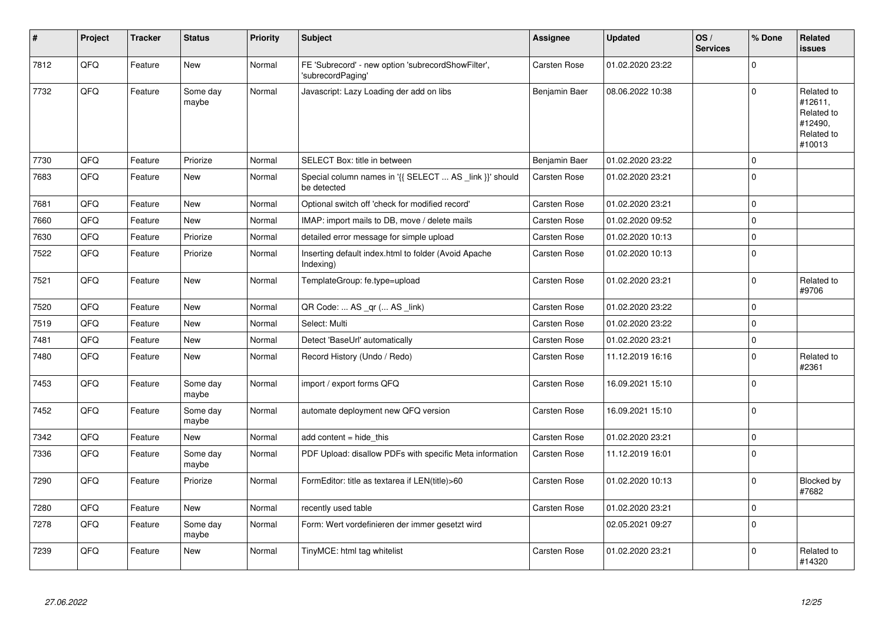| #    | Project | <b>Tracker</b> | <b>Status</b>     | <b>Priority</b> | <b>Subject</b>                                                          | <b>Assignee</b>     | <b>Updated</b>   | OS/<br><b>Services</b> | % Done      | Related<br><b>issues</b>                                               |
|------|---------|----------------|-------------------|-----------------|-------------------------------------------------------------------------|---------------------|------------------|------------------------|-------------|------------------------------------------------------------------------|
| 7812 | QFQ     | Feature        | <b>New</b>        | Normal          | FE 'Subrecord' - new option 'subrecordShowFilter',<br>'subrecordPaging' | <b>Carsten Rose</b> | 01.02.2020 23:22 |                        | $\Omega$    |                                                                        |
| 7732 | QFQ     | Feature        | Some dav<br>maybe | Normal          | Javascript: Lazy Loading der add on libs                                | Benjamin Baer       | 08.06.2022 10:38 |                        | $\Omega$    | Related to<br>#12611,<br>Related to<br>#12490,<br>Related to<br>#10013 |
| 7730 | QFQ     | Feature        | Priorize          | Normal          | SELECT Box: title in between                                            | Benjamin Baer       | 01.02.2020 23:22 |                        | $\mathbf 0$ |                                                                        |
| 7683 | QFQ     | Feature        | <b>New</b>        | Normal          | Special column names in '{{ SELECT  AS _link }}' should<br>be detected  | Carsten Rose        | 01.02.2020 23:21 |                        | $\mathbf 0$ |                                                                        |
| 7681 | QFQ     | Feature        | New               | Normal          | Optional switch off 'check for modified record'                         | Carsten Rose        | 01.02.2020 23:21 |                        | $\mathbf 0$ |                                                                        |
| 7660 | QFQ     | Feature        | <b>New</b>        | Normal          | IMAP: import mails to DB, move / delete mails                           | Carsten Rose        | 01.02.2020 09:52 |                        | $\mathbf 0$ |                                                                        |
| 7630 | QFQ     | Feature        | Priorize          | Normal          | detailed error message for simple upload                                | <b>Carsten Rose</b> | 01.02.2020 10:13 |                        | $\mathbf 0$ |                                                                        |
| 7522 | QFQ     | Feature        | Priorize          | Normal          | Inserting default index.html to folder (Avoid Apache<br>Indexing)       | <b>Carsten Rose</b> | 01.02.2020 10:13 |                        | $\mathbf 0$ |                                                                        |
| 7521 | QFQ     | Feature        | <b>New</b>        | Normal          | TemplateGroup: fe.type=upload                                           | <b>Carsten Rose</b> | 01.02.2020 23:21 |                        | $\mathbf 0$ | Related to<br>#9706                                                    |
| 7520 | QFQ     | Feature        | <b>New</b>        | Normal          | QR Code:  AS _qr ( AS _link)                                            | <b>Carsten Rose</b> | 01.02.2020 23:22 |                        | $\mathbf 0$ |                                                                        |
| 7519 | QFQ     | Feature        | <b>New</b>        | Normal          | Select: Multi                                                           | Carsten Rose        | 01.02.2020 23:22 |                        | $\Omega$    |                                                                        |
| 7481 | QFQ     | Feature        | New               | Normal          | Detect 'BaseUrl' automatically                                          | Carsten Rose        | 01.02.2020 23:21 |                        | $\pmb{0}$   |                                                                        |
| 7480 | QFQ     | Feature        | New               | Normal          | Record History (Undo / Redo)                                            | Carsten Rose        | 11.12.2019 16:16 |                        | $\Omega$    | Related to<br>#2361                                                    |
| 7453 | QFQ     | Feature        | Some day<br>maybe | Normal          | import / export forms QFQ                                               | <b>Carsten Rose</b> | 16.09.2021 15:10 |                        | $\mathbf 0$ |                                                                        |
| 7452 | QFQ     | Feature        | Some day<br>maybe | Normal          | automate deployment new QFQ version                                     | <b>Carsten Rose</b> | 16.09.2021 15:10 |                        | $\mathbf 0$ |                                                                        |
| 7342 | QFQ     | Feature        | <b>New</b>        | Normal          | add content $=$ hide this                                               | Carsten Rose        | 01.02.2020 23:21 |                        | $\pmb{0}$   |                                                                        |
| 7336 | QFQ     | Feature        | Some day<br>maybe | Normal          | PDF Upload: disallow PDFs with specific Meta information                | <b>Carsten Rose</b> | 11.12.2019 16:01 |                        | $\Omega$    |                                                                        |
| 7290 | QFQ     | Feature        | Priorize          | Normal          | FormEditor: title as textarea if LEN(title)>60                          | Carsten Rose        | 01.02.2020 10:13 |                        | $\mathbf 0$ | Blocked by<br>#7682                                                    |
| 7280 | QFQ     | Feature        | <b>New</b>        | Normal          | recently used table                                                     | Carsten Rose        | 01.02.2020 23:21 |                        | $\mathbf 0$ |                                                                        |
| 7278 | QFQ     | Feature        | Some day<br>maybe | Normal          | Form: Wert vordefinieren der immer gesetzt wird                         |                     | 02.05.2021 09:27 |                        | $\mathbf 0$ |                                                                        |
| 7239 | QFQ     | Feature        | New               | Normal          | TinyMCE: html tag whitelist                                             | Carsten Rose        | 01.02.2020 23:21 |                        | $\Omega$    | Related to<br>#14320                                                   |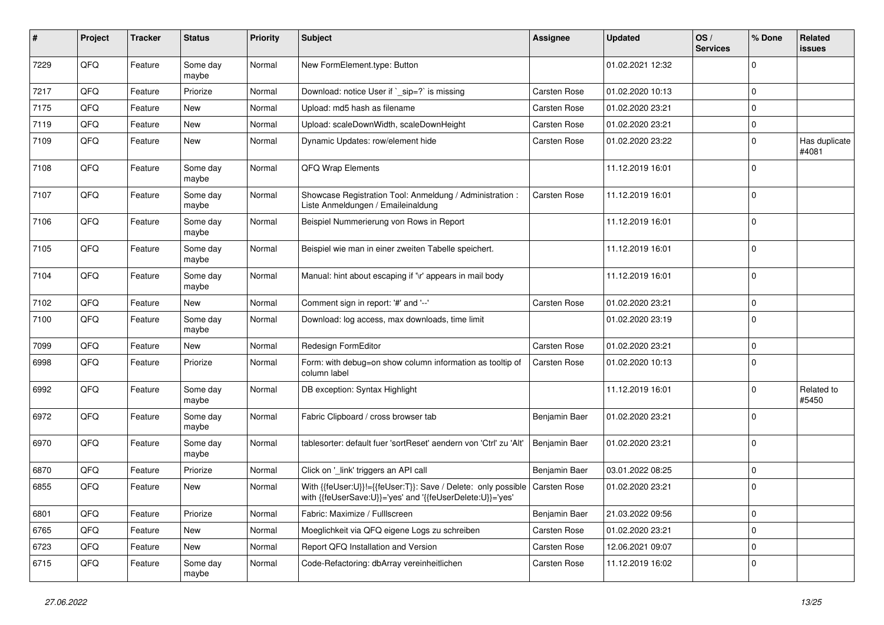| #    | Project | <b>Tracker</b> | <b>Status</b>     | <b>Priority</b> | Subject                                                                                                                    | Assignee      | <b>Updated</b>   | OS/<br><b>Services</b> | % Done      | Related<br>issues      |
|------|---------|----------------|-------------------|-----------------|----------------------------------------------------------------------------------------------------------------------------|---------------|------------------|------------------------|-------------|------------------------|
| 7229 | QFQ     | Feature        | Some day<br>maybe | Normal          | New FormElement.type: Button                                                                                               |               | 01.02.2021 12:32 |                        | $\mathbf 0$ |                        |
| 7217 | QFQ     | Feature        | Priorize          | Normal          | Download: notice User if `_sip=?` is missing                                                                               | Carsten Rose  | 01.02.2020 10:13 |                        | $\mathbf 0$ |                        |
| 7175 | QFQ     | Feature        | New               | Normal          | Upload: md5 hash as filename                                                                                               | Carsten Rose  | 01.02.2020 23:21 |                        | 0           |                        |
| 7119 | QFQ     | Feature        | New               | Normal          | Upload: scaleDownWidth, scaleDownHeight                                                                                    | Carsten Rose  | 01.02.2020 23:21 |                        | $\mathbf 0$ |                        |
| 7109 | QFQ     | Feature        | New               | Normal          | Dynamic Updates: row/element hide                                                                                          | Carsten Rose  | 01.02.2020 23:22 |                        | $\mathbf 0$ | Has duplicate<br>#4081 |
| 7108 | QFQ     | Feature        | Some day<br>maybe | Normal          | QFQ Wrap Elements                                                                                                          |               | 11.12.2019 16:01 |                        | $\Omega$    |                        |
| 7107 | QFQ     | Feature        | Some day<br>maybe | Normal          | Showcase Registration Tool: Anmeldung / Administration :<br>Liste Anmeldungen / Emaileinaldung                             | Carsten Rose  | 11.12.2019 16:01 |                        | $\Omega$    |                        |
| 7106 | QFQ     | Feature        | Some day<br>maybe | Normal          | Beispiel Nummerierung von Rows in Report                                                                                   |               | 11.12.2019 16:01 |                        | 0           |                        |
| 7105 | QFQ     | Feature        | Some day<br>maybe | Normal          | Beispiel wie man in einer zweiten Tabelle speichert.                                                                       |               | 11.12.2019 16:01 |                        | 0           |                        |
| 7104 | QFQ     | Feature        | Some day<br>maybe | Normal          | Manual: hint about escaping if '\r' appears in mail body                                                                   |               | 11.12.2019 16:01 |                        | $\Omega$    |                        |
| 7102 | QFQ     | Feature        | New               | Normal          | Comment sign in report: '#' and '--'                                                                                       | Carsten Rose  | 01.02.2020 23:21 |                        | 0           |                        |
| 7100 | QFQ     | Feature        | Some day<br>maybe | Normal          | Download: log access, max downloads, time limit                                                                            |               | 01.02.2020 23:19 |                        | $\Omega$    |                        |
| 7099 | QFQ     | Feature        | New               | Normal          | Redesign FormEditor                                                                                                        | Carsten Rose  | 01.02.2020 23:21 |                        | 0           |                        |
| 6998 | QFQ     | Feature        | Priorize          | Normal          | Form: with debug=on show column information as tooltip of<br>column label                                                  | Carsten Rose  | 01.02.2020 10:13 |                        | $\Omega$    |                        |
| 6992 | QFQ     | Feature        | Some day<br>maybe | Normal          | DB exception: Syntax Highlight                                                                                             |               | 11.12.2019 16:01 |                        | $\mathbf 0$ | Related to<br>#5450    |
| 6972 | QFQ     | Feature        | Some day<br>maybe | Normal          | Fabric Clipboard / cross browser tab                                                                                       | Benjamin Baer | 01.02.2020 23:21 |                        | $\mathbf 0$ |                        |
| 6970 | QFQ     | Feature        | Some day<br>maybe | Normal          | tablesorter: default fuer 'sortReset' aendern von 'Ctrl' zu 'Alt'                                                          | Benjamin Baer | 01.02.2020 23:21 |                        | $\Omega$    |                        |
| 6870 | QFQ     | Feature        | Priorize          | Normal          | Click on '_link' triggers an API call                                                                                      | Benjamin Baer | 03.01.2022 08:25 |                        | $\Omega$    |                        |
| 6855 | QFQ     | Feature        | New               | Normal          | With {{feUser:U}}!={{feUser:T}}: Save / Delete: only possible<br>with {{feUserSave:U}}='yes' and '{{feUserDelete:U}}='yes' | Carsten Rose  | 01.02.2020 23:21 |                        | $\mathbf 0$ |                        |
| 6801 | QFQ     | Feature        | Priorize          | Normal          | Fabric: Maximize / FullIscreen                                                                                             | Benjamin Baer | 21.03.2022 09:56 |                        | 0           |                        |
| 6765 | QFQ     | Feature        | New               | Normal          | Moeglichkeit via QFQ eigene Logs zu schreiben                                                                              | Carsten Rose  | 01.02.2020 23:21 |                        | 0           |                        |
| 6723 | QFQ     | Feature        | New               | Normal          | Report QFQ Installation and Version                                                                                        | Carsten Rose  | 12.06.2021 09:07 |                        | 0           |                        |
| 6715 | QFQ     | Feature        | Some day<br>maybe | Normal          | Code-Refactoring: dbArray vereinheitlichen                                                                                 | Carsten Rose  | 11.12.2019 16:02 |                        | 0           |                        |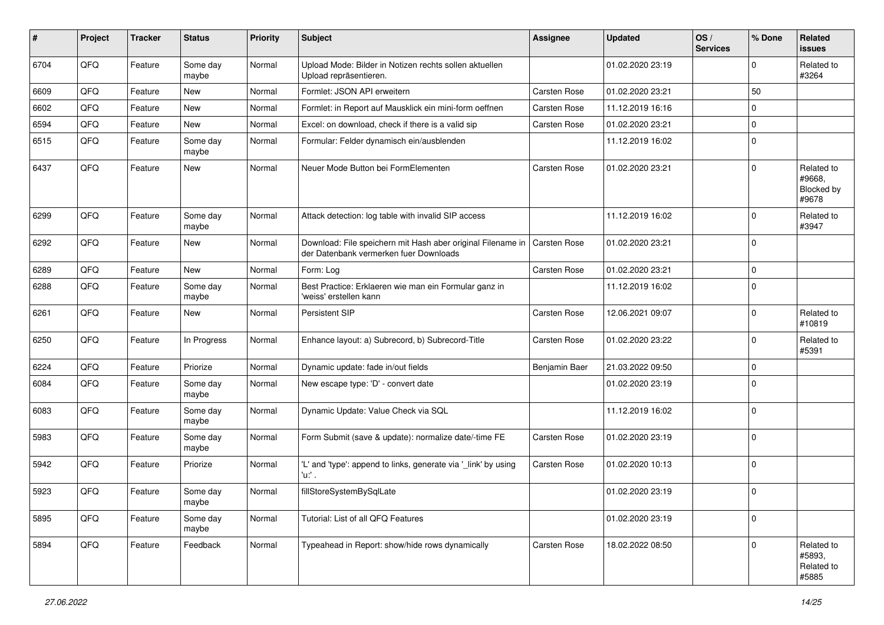| $\sharp$ | Project | <b>Tracker</b> | <b>Status</b>     | <b>Priority</b> | Subject                                                                                               | <b>Assignee</b>     | <b>Updated</b>   | OS/<br><b>Services</b> | % Done      | Related<br>issues                                  |
|----------|---------|----------------|-------------------|-----------------|-------------------------------------------------------------------------------------------------------|---------------------|------------------|------------------------|-------------|----------------------------------------------------|
| 6704     | QFQ     | Feature        | Some day<br>maybe | Normal          | Upload Mode: Bilder in Notizen rechts sollen aktuellen<br>Upload repräsentieren.                      |                     | 01.02.2020 23:19 |                        | $\mathbf 0$ | Related to<br>#3264                                |
| 6609     | QFQ     | Feature        | New               | Normal          | Formlet: JSON API erweitern                                                                           | Carsten Rose        | 01.02.2020 23:21 |                        | 50          |                                                    |
| 6602     | QFQ     | Feature        | New               | Normal          | Formlet: in Report auf Mausklick ein mini-form oeffnen                                                | Carsten Rose        | 11.12.2019 16:16 |                        | $\mathbf 0$ |                                                    |
| 6594     | QFQ     | Feature        | <b>New</b>        | Normal          | Excel: on download, check if there is a valid sip                                                     | Carsten Rose        | 01.02.2020 23:21 |                        | $\mathbf 0$ |                                                    |
| 6515     | QFQ     | Feature        | Some day<br>maybe | Normal          | Formular: Felder dynamisch ein/ausblenden                                                             |                     | 11.12.2019 16:02 |                        | $\mathbf 0$ |                                                    |
| 6437     | QFQ     | Feature        | New               | Normal          | Neuer Mode Button bei FormElementen                                                                   | Carsten Rose        | 01.02.2020 23:21 |                        | $\Omega$    | Related to<br>#9668.<br><b>Blocked by</b><br>#9678 |
| 6299     | QFQ     | Feature        | Some day<br>maybe | Normal          | Attack detection: log table with invalid SIP access                                                   |                     | 11.12.2019 16:02 |                        | $\mathbf 0$ | Related to<br>#3947                                |
| 6292     | QFQ     | Feature        | New               | Normal          | Download: File speichern mit Hash aber original Filename in<br>der Datenbank vermerken fuer Downloads | <b>Carsten Rose</b> | 01.02.2020 23:21 |                        | $\mathbf 0$ |                                                    |
| 6289     | QFQ     | Feature        | <b>New</b>        | Normal          | Form: Log                                                                                             | Carsten Rose        | 01.02.2020 23:21 |                        | $\mathbf 0$ |                                                    |
| 6288     | QFQ     | Feature        | Some day<br>maybe | Normal          | Best Practice: Erklaeren wie man ein Formular ganz in<br>'weiss' erstellen kann                       |                     | 11.12.2019 16:02 |                        | $\mathbf 0$ |                                                    |
| 6261     | QFQ     | Feature        | New               | Normal          | <b>Persistent SIP</b>                                                                                 | Carsten Rose        | 12.06.2021 09:07 |                        | $\mathbf 0$ | Related to<br>#10819                               |
| 6250     | QFQ     | Feature        | In Progress       | Normal          | Enhance layout: a) Subrecord, b) Subrecord-Title                                                      | Carsten Rose        | 01.02.2020 23:22 |                        | $\mathbf 0$ | Related to<br>#5391                                |
| 6224     | QFQ     | Feature        | Priorize          | Normal          | Dynamic update: fade in/out fields                                                                    | Benjamin Baer       | 21.03.2022 09:50 |                        | $\mathbf 0$ |                                                    |
| 6084     | QFQ     | Feature        | Some day<br>maybe | Normal          | New escape type: 'D' - convert date                                                                   |                     | 01.02.2020 23:19 |                        | $\mathbf 0$ |                                                    |
| 6083     | QFQ     | Feature        | Some day<br>maybe | Normal          | Dynamic Update: Value Check via SQL                                                                   |                     | 11.12.2019 16:02 |                        | $\mathbf 0$ |                                                    |
| 5983     | QFQ     | Feature        | Some day<br>maybe | Normal          | Form Submit (save & update): normalize date/-time FE                                                  | Carsten Rose        | 01.02.2020 23:19 |                        | $\mathbf 0$ |                                                    |
| 5942     | QFQ     | Feature        | Priorize          | Normal          | 'L' and 'type': append to links, generate via '_link' by using<br>'u:' .                              | Carsten Rose        | 01.02.2020 10:13 |                        | $\mathbf 0$ |                                                    |
| 5923     | QFQ     | Feature        | Some day<br>maybe | Normal          | fillStoreSystemBySqlLate                                                                              |                     | 01.02.2020 23:19 |                        | $\mathbf 0$ |                                                    |
| 5895     | QFQ     | Feature        | Some day<br>maybe | Normal          | Tutorial: List of all QFQ Features                                                                    |                     | 01.02.2020 23:19 |                        | $\mathbf 0$ |                                                    |
| 5894     | QFQ     | Feature        | Feedback          | Normal          | Typeahead in Report: show/hide rows dynamically                                                       | Carsten Rose        | 18.02.2022 08:50 |                        | $\Omega$    | Related to<br>#5893,<br>Related to<br>#5885        |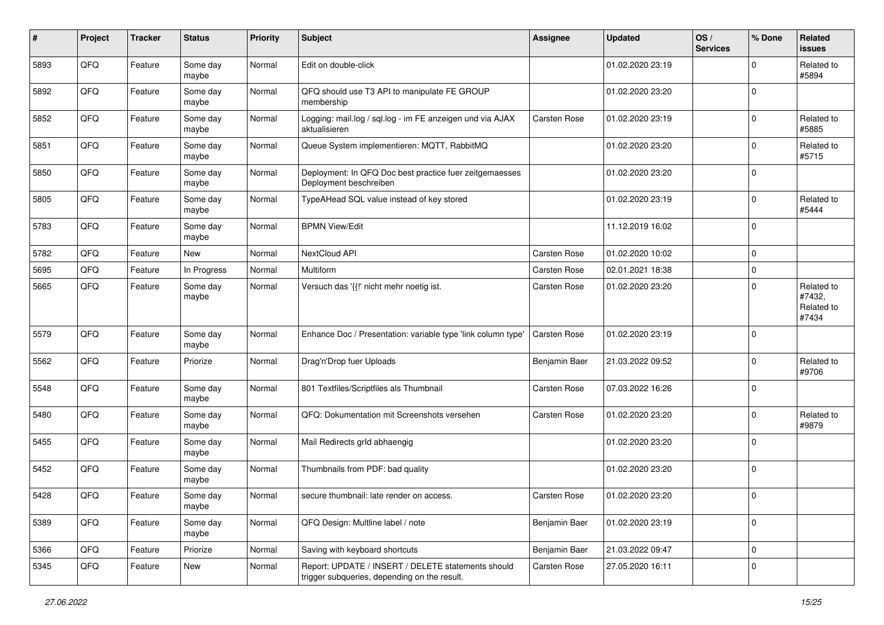| $\#$ | Project | <b>Tracker</b> | <b>Status</b>     | <b>Priority</b> | <b>Subject</b>                                                                                     | Assignee      | <b>Updated</b>   | OS/<br><b>Services</b> | % Done      | Related<br><b>issues</b>                    |
|------|---------|----------------|-------------------|-----------------|----------------------------------------------------------------------------------------------------|---------------|------------------|------------------------|-------------|---------------------------------------------|
| 5893 | QFQ     | Feature        | Some day<br>maybe | Normal          | Edit on double-click                                                                               |               | 01.02.2020 23:19 |                        | $\mathbf 0$ | Related to<br>#5894                         |
| 5892 | QFQ     | Feature        | Some day<br>maybe | Normal          | QFQ should use T3 API to manipulate FE GROUP<br>membership                                         |               | 01.02.2020 23:20 |                        | $\mathbf 0$ |                                             |
| 5852 | QFQ     | Feature        | Some day<br>maybe | Normal          | Logging: mail.log / sql.log - im FE anzeigen und via AJAX<br>aktualisieren                         | Carsten Rose  | 01.02.2020 23:19 |                        | $\Omega$    | Related to<br>#5885                         |
| 5851 | QFQ     | Feature        | Some day<br>maybe | Normal          | Queue System implementieren: MQTT, RabbitMQ                                                        |               | 01.02.2020 23:20 |                        | $\mathbf 0$ | Related to<br>#5715                         |
| 5850 | QFQ     | Feature        | Some day<br>maybe | Normal          | Deployment: In QFQ Doc best practice fuer zeitgemaesses<br>Deployment beschreiben                  |               | 01.02.2020 23:20 |                        | $\mathbf 0$ |                                             |
| 5805 | QFQ     | Feature        | Some day<br>maybe | Normal          | TypeAHead SQL value instead of key stored                                                          |               | 01.02.2020 23:19 |                        | $\mathbf 0$ | Related to<br>#5444                         |
| 5783 | QFQ     | Feature        | Some day<br>maybe | Normal          | <b>BPMN View/Edit</b>                                                                              |               | 11.12.2019 16:02 |                        | $\Omega$    |                                             |
| 5782 | QFQ     | Feature        | New               | Normal          | NextCloud API                                                                                      | Carsten Rose  | 01.02.2020 10:02 |                        | $\mathbf 0$ |                                             |
| 5695 | QFQ     | Feature        | In Progress       | Normal          | Multiform                                                                                          | Carsten Rose  | 02.01.2021 18:38 |                        | $\mathbf 0$ |                                             |
| 5665 | QFQ     | Feature        | Some day<br>maybe | Normal          | Versuch das '{{!' nicht mehr noetig ist.                                                           | Carsten Rose  | 01.02.2020 23:20 |                        | $\Omega$    | Related to<br>#7432,<br>Related to<br>#7434 |
| 5579 | QFQ     | Feature        | Some day<br>maybe | Normal          | Enhance Doc / Presentation: variable type 'link column type'                                       | Carsten Rose  | 01.02.2020 23:19 |                        | $\mathbf 0$ |                                             |
| 5562 | QFQ     | Feature        | Priorize          | Normal          | Drag'n'Drop fuer Uploads                                                                           | Benjamin Baer | 21.03.2022 09:52 |                        | $\Omega$    | Related to<br>#9706                         |
| 5548 | QFQ     | Feature        | Some day<br>maybe | Normal          | 801 Textfiles/Scriptfiles als Thumbnail                                                            | Carsten Rose  | 07.03.2022 16:26 |                        | $\mathbf 0$ |                                             |
| 5480 | QFQ     | Feature        | Some day<br>maybe | Normal          | QFQ: Dokumentation mit Screenshots versehen                                                        | Carsten Rose  | 01.02.2020 23:20 |                        | $\mathbf 0$ | Related to<br>#9879                         |
| 5455 | QFQ     | Feature        | Some day<br>maybe | Normal          | Mail Redirects grld abhaengig                                                                      |               | 01.02.2020 23:20 |                        | $\mathbf 0$ |                                             |
| 5452 | QFQ     | Feature        | Some day<br>maybe | Normal          | Thumbnails from PDF: bad quality                                                                   |               | 01.02.2020 23:20 |                        | $\mathbf 0$ |                                             |
| 5428 | QFQ     | Feature        | Some day<br>maybe | Normal          | secure thumbnail: late render on access.                                                           | Carsten Rose  | 01.02.2020 23:20 |                        | $\mathbf 0$ |                                             |
| 5389 | QFQ     | Feature        | Some day<br>maybe | Normal          | QFQ Design: Multline label / note                                                                  | Benjamin Baer | 01.02.2020 23:19 |                        | $\mathbf 0$ |                                             |
| 5366 | QFQ     | Feature        | Priorize          | Normal          | Saving with keyboard shortcuts                                                                     | Benjamin Baer | 21.03.2022 09:47 |                        | $\mathbf 0$ |                                             |
| 5345 | QFQ     | Feature        | New               | Normal          | Report: UPDATE / INSERT / DELETE statements should<br>trigger subqueries, depending on the result. | Carsten Rose  | 27.05.2020 16:11 |                        | 0           |                                             |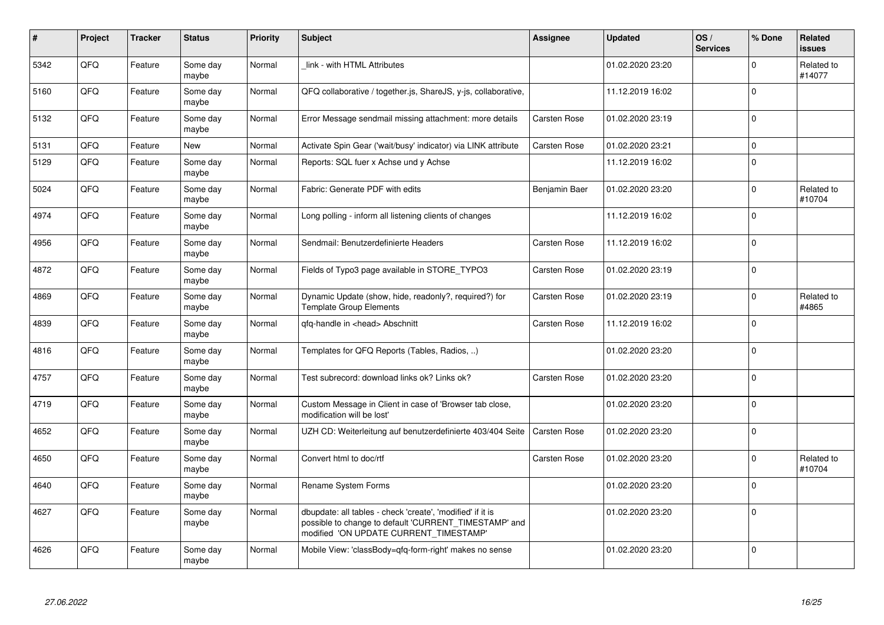| $\pmb{\sharp}$ | Project | <b>Tracker</b> | <b>Status</b>     | <b>Priority</b> | <b>Subject</b>                                                                                                                                                | <b>Assignee</b> | <b>Updated</b>   | OS/<br><b>Services</b> | % Done      | Related<br><b>issues</b> |
|----------------|---------|----------------|-------------------|-----------------|---------------------------------------------------------------------------------------------------------------------------------------------------------------|-----------------|------------------|------------------------|-------------|--------------------------|
| 5342           | QFQ     | Feature        | Some day<br>maybe | Normal          | link - with HTML Attributes                                                                                                                                   |                 | 01.02.2020 23:20 |                        | $\Omega$    | Related to<br>#14077     |
| 5160           | QFQ     | Feature        | Some day<br>maybe | Normal          | QFQ collaborative / together.js, ShareJS, y-js, collaborative,                                                                                                |                 | 11.12.2019 16:02 |                        | $\Omega$    |                          |
| 5132           | QFQ     | Feature        | Some day<br>maybe | Normal          | Error Message sendmail missing attachment: more details                                                                                                       | Carsten Rose    | 01.02.2020 23:19 |                        | $\Omega$    |                          |
| 5131           | QFQ     | Feature        | New               | Normal          | Activate Spin Gear ('wait/busy' indicator) via LINK attribute                                                                                                 | Carsten Rose    | 01.02.2020 23:21 |                        | $\mathbf 0$ |                          |
| 5129           | QFQ     | Feature        | Some day<br>maybe | Normal          | Reports: SQL fuer x Achse und y Achse                                                                                                                         |                 | 11.12.2019 16:02 |                        | $\Omega$    |                          |
| 5024           | QFQ     | Feature        | Some day<br>maybe | Normal          | Fabric: Generate PDF with edits                                                                                                                               | Benjamin Baer   | 01.02.2020 23:20 |                        | $\mathbf 0$ | Related to<br>#10704     |
| 4974           | QFQ     | Feature        | Some day<br>maybe | Normal          | Long polling - inform all listening clients of changes                                                                                                        |                 | 11.12.2019 16:02 |                        | $\Omega$    |                          |
| 4956           | QFQ     | Feature        | Some day<br>maybe | Normal          | Sendmail: Benutzerdefinierte Headers                                                                                                                          | Carsten Rose    | 11.12.2019 16:02 |                        | $\Omega$    |                          |
| 4872           | QFQ     | Feature        | Some day<br>maybe | Normal          | Fields of Typo3 page available in STORE TYPO3                                                                                                                 | Carsten Rose    | 01.02.2020 23:19 |                        | $\mathbf 0$ |                          |
| 4869           | QFQ     | Feature        | Some day<br>maybe | Normal          | Dynamic Update (show, hide, readonly?, required?) for<br><b>Template Group Elements</b>                                                                       | Carsten Rose    | 01.02.2020 23:19 |                        | $\Omega$    | Related to<br>#4865      |
| 4839           | QFQ     | Feature        | Some day<br>maybe | Normal          | gfg-handle in <head> Abschnitt</head>                                                                                                                         | Carsten Rose    | 11.12.2019 16:02 |                        | $\Omega$    |                          |
| 4816           | QFQ     | Feature        | Some day<br>maybe | Normal          | Templates for QFQ Reports (Tables, Radios, )                                                                                                                  |                 | 01.02.2020 23:20 |                        | $\mathbf 0$ |                          |
| 4757           | QFQ     | Feature        | Some day<br>maybe | Normal          | Test subrecord: download links ok? Links ok?                                                                                                                  | Carsten Rose    | 01.02.2020 23:20 |                        | $\Omega$    |                          |
| 4719           | QFQ     | Feature        | Some day<br>maybe | Normal          | Custom Message in Client in case of 'Browser tab close,<br>modification will be lost'                                                                         |                 | 01.02.2020 23:20 |                        | $\Omega$    |                          |
| 4652           | QFQ     | Feature        | Some day<br>maybe | Normal          | UZH CD: Weiterleitung auf benutzerdefinierte 403/404 Seite                                                                                                    | Carsten Rose    | 01.02.2020 23:20 |                        | $\mathbf 0$ |                          |
| 4650           | QFQ     | Feature        | Some day<br>maybe | Normal          | Convert html to doc/rtf                                                                                                                                       | Carsten Rose    | 01.02.2020 23:20 |                        | $\mathbf 0$ | Related to<br>#10704     |
| 4640           | QFQ     | Feature        | Some day<br>maybe | Normal          | Rename System Forms                                                                                                                                           |                 | 01.02.2020 23:20 |                        | $\mathbf 0$ |                          |
| 4627           | QFQ     | Feature        | Some day<br>maybe | Normal          | dbupdate: all tables - check 'create', 'modified' if it is<br>possible to change to default 'CURRENT_TIMESTAMP' and<br>modified 'ON UPDATE CURRENT_TIMESTAMP' |                 | 01.02.2020 23:20 |                        | $\Omega$    |                          |
| 4626           | QFQ     | Feature        | Some day<br>maybe | Normal          | Mobile View: 'classBody=qfq-form-right' makes no sense                                                                                                        |                 | 01.02.2020 23:20 |                        | $\Omega$    |                          |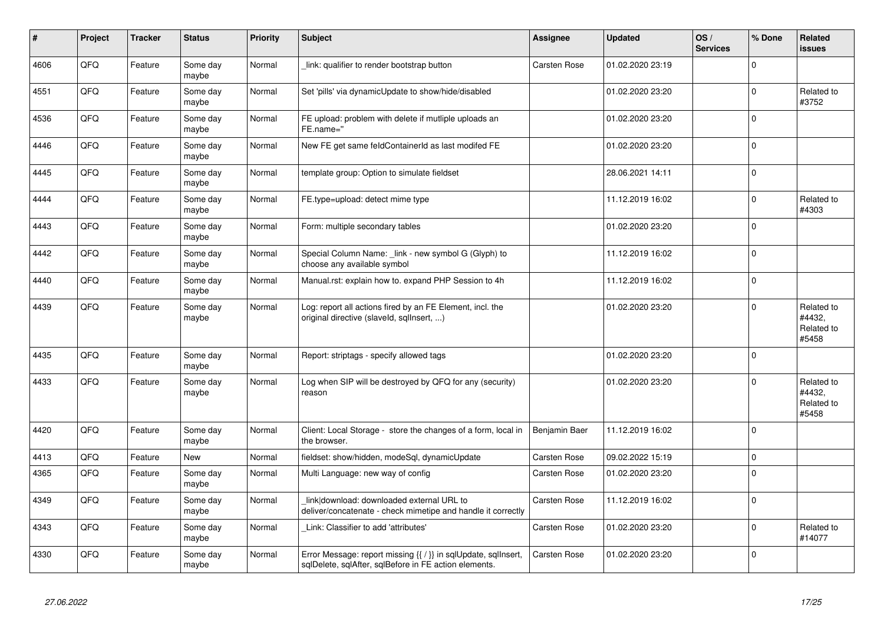| #    | Project | <b>Tracker</b> | <b>Status</b>     | <b>Priority</b> | <b>Subject</b>                                                                                                                     | <b>Assignee</b> | <b>Updated</b>   | OS/<br><b>Services</b> | % Done      | Related<br>issues                           |
|------|---------|----------------|-------------------|-----------------|------------------------------------------------------------------------------------------------------------------------------------|-----------------|------------------|------------------------|-------------|---------------------------------------------|
| 4606 | QFQ     | Feature        | Some day<br>maybe | Normal          | link: qualifier to render bootstrap button                                                                                         | Carsten Rose    | 01.02.2020 23:19 |                        | $\Omega$    |                                             |
| 4551 | QFQ     | Feature        | Some day<br>maybe | Normal          | Set 'pills' via dynamicUpdate to show/hide/disabled                                                                                |                 | 01.02.2020 23:20 |                        | 0           | Related to<br>#3752                         |
| 4536 | QFQ     | Feature        | Some day<br>maybe | Normal          | FE upload: problem with delete if mutliple uploads an<br>FE.name="                                                                 |                 | 01.02.2020 23:20 |                        | $\Omega$    |                                             |
| 4446 | QFQ     | Feature        | Some day<br>maybe | Normal          | New FE get same feldContainerId as last modifed FE                                                                                 |                 | 01.02.2020 23:20 |                        | $\Omega$    |                                             |
| 4445 | QFQ     | Feature        | Some day<br>maybe | Normal          | template group: Option to simulate fieldset                                                                                        |                 | 28.06.2021 14:11 |                        | $\mathbf 0$ |                                             |
| 4444 | QFQ     | Feature        | Some day<br>maybe | Normal          | FE.type=upload: detect mime type                                                                                                   |                 | 11.12.2019 16:02 |                        | $\pmb{0}$   | Related to<br>#4303                         |
| 4443 | QFQ     | Feature        | Some day<br>maybe | Normal          | Form: multiple secondary tables                                                                                                    |                 | 01.02.2020 23:20 |                        | $\mathbf 0$ |                                             |
| 4442 | QFQ     | Feature        | Some day<br>maybe | Normal          | Special Column Name: link - new symbol G (Glyph) to<br>choose any available symbol                                                 |                 | 11.12.2019 16:02 |                        | $\Omega$    |                                             |
| 4440 | QFQ     | Feature        | Some day<br>maybe | Normal          | Manual.rst: explain how to. expand PHP Session to 4h                                                                               |                 | 11.12.2019 16:02 |                        | 0           |                                             |
| 4439 | QFQ     | Feature        | Some day<br>maybe | Normal          | Log: report all actions fired by an FE Element, incl. the<br>original directive (slaveld, sqlInsert, )                             |                 | 01.02.2020 23:20 |                        | 0           | Related to<br>#4432,<br>Related to<br>#5458 |
| 4435 | QFQ     | Feature        | Some day<br>maybe | Normal          | Report: striptags - specify allowed tags                                                                                           |                 | 01.02.2020 23:20 |                        | $\Omega$    |                                             |
| 4433 | QFQ     | Feature        | Some day<br>maybe | Normal          | Log when SIP will be destroyed by QFQ for any (security)<br>reason                                                                 |                 | 01.02.2020 23:20 |                        | 0           | Related to<br>#4432,<br>Related to<br>#5458 |
| 4420 | QFQ     | Feature        | Some day<br>maybe | Normal          | Client: Local Storage - store the changes of a form, local in<br>the browser.                                                      | Benjamin Baer   | 11.12.2019 16:02 |                        | $\Omega$    |                                             |
| 4413 | QFQ     | Feature        | <b>New</b>        | Normal          | fieldset: show/hidden, modeSql, dynamicUpdate                                                                                      | Carsten Rose    | 09.02.2022 15:19 |                        | $\Omega$    |                                             |
| 4365 | QFQ     | Feature        | Some day<br>maybe | Normal          | Multi Language: new way of config                                                                                                  | Carsten Rose    | 01.02.2020 23:20 |                        | $\Omega$    |                                             |
| 4349 | QFQ     | Feature        | Some day<br>maybe | Normal          | link download: downloaded external URL to<br>deliver/concatenate - check mimetipe and handle it correctly                          | Carsten Rose    | 11.12.2019 16:02 |                        | $\Omega$    |                                             |
| 4343 | QFQ     | Feature        | Some day<br>maybe | Normal          | Link: Classifier to add 'attributes'                                                                                               | Carsten Rose    | 01.02.2020 23:20 |                        | $\pmb{0}$   | Related to<br>#14077                        |
| 4330 | QFQ     | Feature        | Some day<br>maybe | Normal          | Error Message: report missing $\{\{\ \right\}\}$ in sqlUpdate, sqlInsert,<br>sqlDelete, sqlAfter, sqlBefore in FE action elements. | Carsten Rose    | 01.02.2020 23:20 |                        | $\Omega$    |                                             |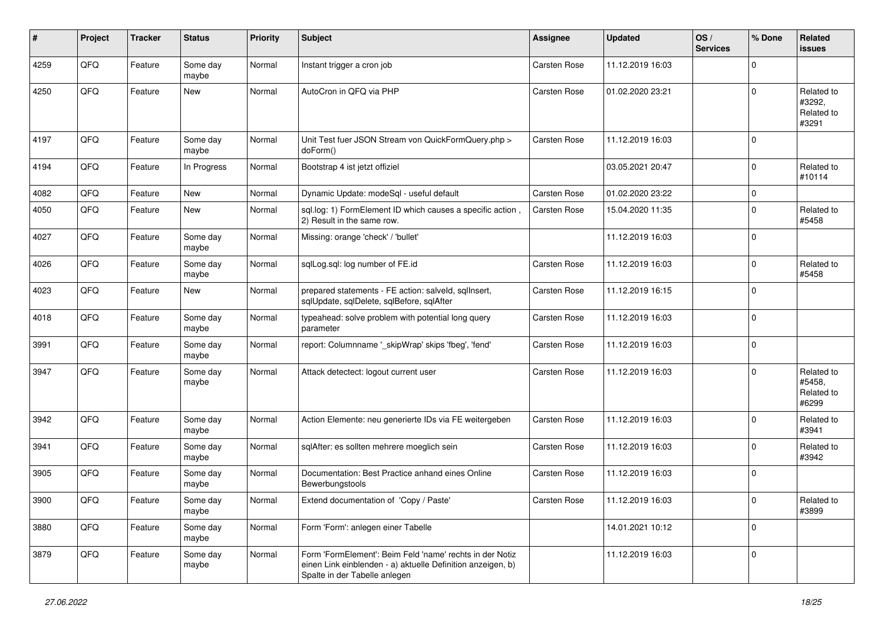| #    | Project | <b>Tracker</b> | <b>Status</b>     | <b>Priority</b> | <b>Subject</b>                                                                                                                                           | <b>Assignee</b> | <b>Updated</b>   | OS/<br><b>Services</b> | % Done      | Related<br>issues                           |
|------|---------|----------------|-------------------|-----------------|----------------------------------------------------------------------------------------------------------------------------------------------------------|-----------------|------------------|------------------------|-------------|---------------------------------------------|
| 4259 | QFQ     | Feature        | Some day<br>maybe | Normal          | Instant trigger a cron job                                                                                                                               | Carsten Rose    | 11.12.2019 16:03 |                        | $\Omega$    |                                             |
| 4250 | QFQ     | Feature        | New               | Normal          | AutoCron in QFQ via PHP                                                                                                                                  | Carsten Rose    | 01.02.2020 23:21 |                        | $\Omega$    | Related to<br>#3292,<br>Related to<br>#3291 |
| 4197 | QFQ     | Feature        | Some day<br>maybe | Normal          | Unit Test fuer JSON Stream von QuickFormQuery.php ><br>doForm()                                                                                          | Carsten Rose    | 11.12.2019 16:03 |                        | $\Omega$    |                                             |
| 4194 | QFQ     | Feature        | In Progress       | Normal          | Bootstrap 4 ist jetzt offiziel                                                                                                                           |                 | 03.05.2021 20:47 |                        | $\Omega$    | Related to<br>#10114                        |
| 4082 | QFQ     | Feature        | New               | Normal          | Dynamic Update: modeSql - useful default                                                                                                                 | Carsten Rose    | 01.02.2020 23:22 |                        | $\Omega$    |                                             |
| 4050 | QFQ     | Feature        | New               | Normal          | sql.log: 1) FormElement ID which causes a specific action,<br>2) Result in the same row.                                                                 | Carsten Rose    | 15.04.2020 11:35 |                        | $\Omega$    | Related to<br>#5458                         |
| 4027 | QFQ     | Feature        | Some day<br>maybe | Normal          | Missing: orange 'check' / 'bullet'                                                                                                                       |                 | 11.12.2019 16:03 |                        | $\Omega$    |                                             |
| 4026 | QFQ     | Feature        | Some day<br>maybe | Normal          | sqlLog.sql: log number of FE.id                                                                                                                          | Carsten Rose    | 11.12.2019 16:03 |                        | $\Omega$    | Related to<br>#5458                         |
| 4023 | QFQ     | Feature        | New               | Normal          | prepared statements - FE action: salveld, sqllnsert,<br>sqlUpdate, sqlDelete, sqlBefore, sqlAfter                                                        | Carsten Rose    | 11.12.2019 16:15 |                        | $\Omega$    |                                             |
| 4018 | QFQ     | Feature        | Some day<br>maybe | Normal          | typeahead: solve problem with potential long query<br>parameter                                                                                          | Carsten Rose    | 11.12.2019 16:03 |                        | $\Omega$    |                                             |
| 3991 | QFQ     | Feature        | Some day<br>maybe | Normal          | report: Columnname '_skipWrap' skips 'fbeg', 'fend'                                                                                                      | Carsten Rose    | 11.12.2019 16:03 |                        | $\Omega$    |                                             |
| 3947 | QFQ     | Feature        | Some day<br>maybe | Normal          | Attack detectect: logout current user                                                                                                                    | Carsten Rose    | 11.12.2019 16:03 |                        | $\Omega$    | Related to<br>#5458,<br>Related to<br>#6299 |
| 3942 | QFQ     | Feature        | Some day<br>maybe | Normal          | Action Elemente: neu generierte IDs via FE weitergeben                                                                                                   | Carsten Rose    | 11.12.2019 16:03 |                        | $\Omega$    | Related to<br>#3941                         |
| 3941 | QFQ     | Feature        | Some day<br>maybe | Normal          | sqlAfter: es sollten mehrere moeglich sein                                                                                                               | Carsten Rose    | 11.12.2019 16:03 |                        | $\Omega$    | Related to<br>#3942                         |
| 3905 | QFQ     | Feature        | Some day<br>maybe | Normal          | Documentation: Best Practice anhand eines Online<br>Bewerbungstools                                                                                      | Carsten Rose    | 11.12.2019 16:03 |                        | $\Omega$    |                                             |
| 3900 | QFQ     | Feature        | Some day<br>maybe | Normal          | Extend documentation of 'Copy / Paste'                                                                                                                   | Carsten Rose    | 11.12.2019 16:03 |                        | $\mathsf 0$ | Related to<br>#3899                         |
| 3880 | QFQ     | Feature        | Some day<br>maybe | Normal          | Form 'Form': anlegen einer Tabelle                                                                                                                       |                 | 14.01.2021 10:12 |                        | $\mathbf 0$ |                                             |
| 3879 | QFQ     | Feature        | Some day<br>maybe | Normal          | Form 'FormElement': Beim Feld 'name' rechts in der Notiz<br>einen Link einblenden - a) aktuelle Definition anzeigen, b)<br>Spalte in der Tabelle anlegen |                 | 11.12.2019 16:03 |                        | 0           |                                             |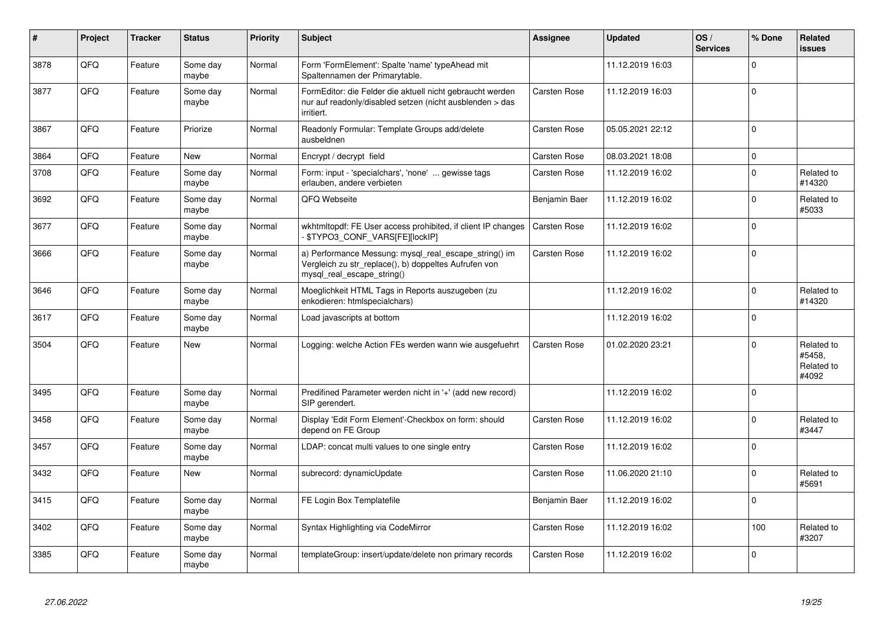| #    | Project | <b>Tracker</b> | <b>Status</b>     | <b>Priority</b> | <b>Subject</b>                                                                                                                               | <b>Assignee</b> | <b>Updated</b>   | OS/<br><b>Services</b> | % Done      | Related<br>issues                           |
|------|---------|----------------|-------------------|-----------------|----------------------------------------------------------------------------------------------------------------------------------------------|-----------------|------------------|------------------------|-------------|---------------------------------------------|
| 3878 | QFQ     | Feature        | Some day<br>maybe | Normal          | Form 'FormElement': Spalte 'name' typeAhead mit<br>Spaltennamen der Primarytable.                                                            |                 | 11.12.2019 16:03 |                        | $\Omega$    |                                             |
| 3877 | QFQ     | Feature        | Some day<br>maybe | Normal          | FormEditor: die Felder die aktuell nicht gebraucht werden<br>nur auf readonly/disabled setzen (nicht ausblenden > das<br>irritiert.          | Carsten Rose    | 11.12.2019 16:03 |                        | $\Omega$    |                                             |
| 3867 | QFQ     | Feature        | Priorize          | Normal          | Readonly Formular: Template Groups add/delete<br>ausbeldnen                                                                                  | Carsten Rose    | 05.05.2021 22:12 |                        | $\mathbf 0$ |                                             |
| 3864 | QFQ     | Feature        | <b>New</b>        | Normal          | Encrypt / decrypt field                                                                                                                      | Carsten Rose    | 08.03.2021 18:08 |                        | $\mathbf 0$ |                                             |
| 3708 | QFQ     | Feature        | Some day<br>maybe | Normal          | Form: input - 'specialchars', 'none'  gewisse tags<br>erlauben, andere verbieten                                                             | Carsten Rose    | 11.12.2019 16:02 |                        | $\mathbf 0$ | Related to<br>#14320                        |
| 3692 | QFQ     | Feature        | Some day<br>maybe | Normal          | QFQ Webseite                                                                                                                                 | Benjamin Baer   | 11.12.2019 16:02 |                        | $\mathbf 0$ | Related to<br>#5033                         |
| 3677 | QFQ     | Feature        | Some day<br>maybe | Normal          | wkhtmitopdf: FE User access prohibited, if client IP changes<br>\$TYPO3_CONF_VARS[FE][lockIP]                                                | Carsten Rose    | 11.12.2019 16:02 |                        | $\Omega$    |                                             |
| 3666 | QFQ     | Feature        | Some day<br>maybe | Normal          | a) Performance Messung: mysql_real_escape_string() im<br>Vergleich zu str replace(), b) doppeltes Aufrufen von<br>mysql_real_escape_string() | Carsten Rose    | 11.12.2019 16:02 |                        | $\Omega$    |                                             |
| 3646 | QFQ     | Feature        | Some day<br>maybe | Normal          | Moeglichkeit HTML Tags in Reports auszugeben (zu<br>enkodieren: htmlspecialchars)                                                            |                 | 11.12.2019 16:02 |                        | $\Omega$    | Related to<br>#14320                        |
| 3617 | QFQ     | Feature        | Some day<br>maybe | Normal          | Load javascripts at bottom                                                                                                                   |                 | 11.12.2019 16:02 |                        | $\Omega$    |                                             |
| 3504 | QFQ     | Feature        | New               | Normal          | Logging: welche Action FEs werden wann wie ausgefuehrt                                                                                       | Carsten Rose    | 01.02.2020 23:21 |                        | $\Omega$    | Related to<br>#5458.<br>Related to<br>#4092 |
| 3495 | QFQ     | Feature        | Some day<br>maybe | Normal          | Predifined Parameter werden nicht in '+' (add new record)<br>SIP gerendert.                                                                  |                 | 11.12.2019 16:02 |                        | $\mathbf 0$ |                                             |
| 3458 | QFQ     | Feature        | Some day<br>maybe | Normal          | Display 'Edit Form Element'-Checkbox on form: should<br>depend on FE Group                                                                   | Carsten Rose    | 11.12.2019 16:02 |                        | $\Omega$    | Related to<br>#3447                         |
| 3457 | QFQ     | Feature        | Some day<br>maybe | Normal          | LDAP: concat multi values to one single entry                                                                                                | Carsten Rose    | 11.12.2019 16:02 |                        | $\mathbf 0$ |                                             |
| 3432 | QFQ     | Feature        | <b>New</b>        | Normal          | subrecord: dynamicUpdate                                                                                                                     | Carsten Rose    | 11.06.2020 21:10 |                        | $\Omega$    | Related to<br>#5691                         |
| 3415 | QFQ     | Feature        | Some day<br>maybe | Normal          | FE Login Box Templatefile                                                                                                                    | Benjamin Baer   | 11.12.2019 16:02 |                        | $\mathbf 0$ |                                             |
| 3402 | QFQ     | Feature        | Some day<br>maybe | Normal          | Syntax Highlighting via CodeMirror                                                                                                           | Carsten Rose    | 11.12.2019 16:02 |                        | 100         | Related to<br>#3207                         |
| 3385 | QFQ     | Feature        | Some day<br>maybe | Normal          | templateGroup: insert/update/delete non primary records                                                                                      | Carsten Rose    | 11.12.2019 16:02 |                        | $\Omega$    |                                             |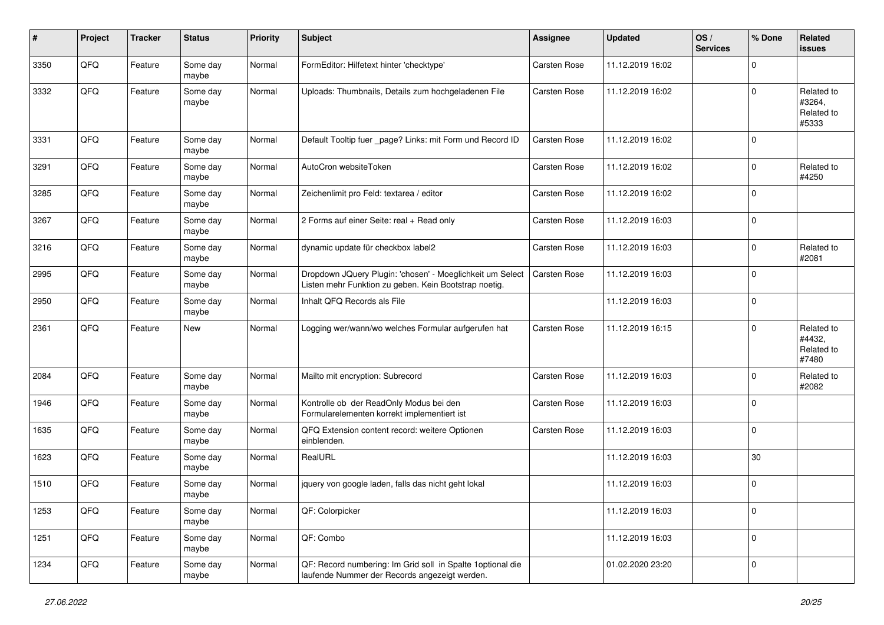| $\sharp$ | Project | <b>Tracker</b> | <b>Status</b>     | <b>Priority</b> | <b>Subject</b>                                                                                                     | <b>Assignee</b> | <b>Updated</b>   | OS/<br><b>Services</b> | % Done      | Related<br><b>issues</b>                    |
|----------|---------|----------------|-------------------|-----------------|--------------------------------------------------------------------------------------------------------------------|-----------------|------------------|------------------------|-------------|---------------------------------------------|
| 3350     | QFQ     | Feature        | Some day<br>maybe | Normal          | FormEditor: Hilfetext hinter 'checktype'                                                                           | Carsten Rose    | 11.12.2019 16:02 |                        | $\Omega$    |                                             |
| 3332     | QFQ     | Feature        | Some day<br>maybe | Normal          | Uploads: Thumbnails, Details zum hochgeladenen File                                                                | Carsten Rose    | 11.12.2019 16:02 |                        | $\mathbf 0$ | Related to<br>#3264,<br>Related to<br>#5333 |
| 3331     | QFQ     | Feature        | Some day<br>maybe | Normal          | Default Tooltip fuer _page? Links: mit Form und Record ID                                                          | Carsten Rose    | 11.12.2019 16:02 |                        | $\mathbf 0$ |                                             |
| 3291     | QFQ     | Feature        | Some day<br>maybe | Normal          | AutoCron websiteToken                                                                                              | Carsten Rose    | 11.12.2019 16:02 |                        | $\mathbf 0$ | Related to<br>#4250                         |
| 3285     | QFQ     | Feature        | Some day<br>maybe | Normal          | Zeichenlimit pro Feld: textarea / editor                                                                           | Carsten Rose    | 11.12.2019 16:02 |                        | $\mathbf 0$ |                                             |
| 3267     | QFQ     | Feature        | Some day<br>maybe | Normal          | 2 Forms auf einer Seite: real + Read only                                                                          | Carsten Rose    | 11.12.2019 16:03 |                        | $\mathbf 0$ |                                             |
| 3216     | QFQ     | Feature        | Some day<br>maybe | Normal          | dynamic update für checkbox label2                                                                                 | Carsten Rose    | 11.12.2019 16:03 |                        | $\mathbf 0$ | Related to<br>#2081                         |
| 2995     | QFQ     | Feature        | Some day<br>maybe | Normal          | Dropdown JQuery Plugin: 'chosen' - Moeglichkeit um Select<br>Listen mehr Funktion zu geben. Kein Bootstrap noetig. | Carsten Rose    | 11.12.2019 16:03 |                        | $\mathbf 0$ |                                             |
| 2950     | QFQ     | Feature        | Some day<br>maybe | Normal          | Inhalt QFQ Records als File                                                                                        |                 | 11.12.2019 16:03 |                        | $\mathbf 0$ |                                             |
| 2361     | QFQ     | Feature        | New               | Normal          | Logging wer/wann/wo welches Formular aufgerufen hat                                                                | Carsten Rose    | 11.12.2019 16:15 |                        | $\mathbf 0$ | Related to<br>#4432,<br>Related to<br>#7480 |
| 2084     | QFQ     | Feature        | Some day<br>maybe | Normal          | Mailto mit encryption: Subrecord                                                                                   | Carsten Rose    | 11.12.2019 16:03 |                        | $\Omega$    | Related to<br>#2082                         |
| 1946     | QFQ     | Feature        | Some day<br>maybe | Normal          | Kontrolle ob der ReadOnly Modus bei den<br>Formularelementen korrekt implementiert ist                             | Carsten Rose    | 11.12.2019 16:03 |                        | $\mathbf 0$ |                                             |
| 1635     | QFQ     | Feature        | Some day<br>maybe | Normal          | QFQ Extension content record: weitere Optionen<br>einblenden.                                                      | Carsten Rose    | 11.12.2019 16:03 |                        | $\mathbf 0$ |                                             |
| 1623     | QFQ     | Feature        | Some day<br>maybe | Normal          | RealURL                                                                                                            |                 | 11.12.2019 16:03 |                        | 30          |                                             |
| 1510     | QFQ     | Feature        | Some day<br>maybe | Normal          | jquery von google laden, falls das nicht geht lokal                                                                |                 | 11.12.2019 16:03 |                        | $\mathbf 0$ |                                             |
| 1253     | QFQ     | Feature        | Some day<br>maybe | Normal          | QF: Colorpicker                                                                                                    |                 | 11.12.2019 16:03 |                        | 0           |                                             |
| 1251     | QFQ     | Feature        | Some day<br>maybe | Normal          | QF: Combo                                                                                                          |                 | 11.12.2019 16:03 |                        | $\mathsf 0$ |                                             |
| 1234     | QFQ     | Feature        | Some day<br>maybe | Normal          | QF: Record numbering: Im Grid soll in Spalte 1 optional die<br>laufende Nummer der Records angezeigt werden.       |                 | 01.02.2020 23:20 |                        | $\mathbf 0$ |                                             |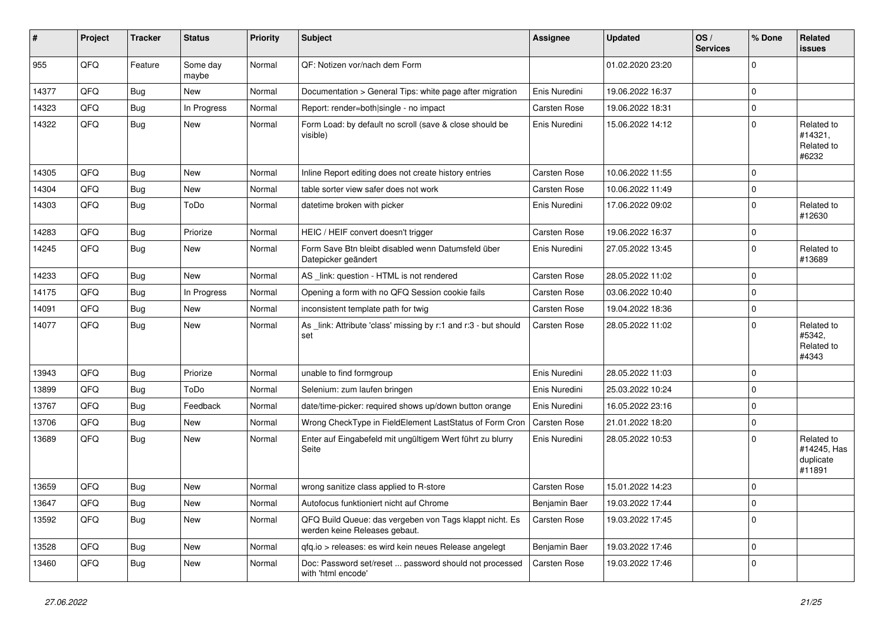| #     | Project | <b>Tracker</b> | <b>Status</b>     | <b>Priority</b> | <b>Subject</b>                                                                           | <b>Assignee</b> | <b>Updated</b>   | OS/<br><b>Services</b> | % Done      | <b>Related</b><br>issues                         |
|-------|---------|----------------|-------------------|-----------------|------------------------------------------------------------------------------------------|-----------------|------------------|------------------------|-------------|--------------------------------------------------|
| 955   | QFQ     | Feature        | Some day<br>maybe | Normal          | QF: Notizen vor/nach dem Form                                                            |                 | 01.02.2020 23:20 |                        | $\Omega$    |                                                  |
| 14377 | QFQ     | <b>Bug</b>     | New               | Normal          | Documentation > General Tips: white page after migration                                 | Enis Nuredini   | 19.06.2022 16:37 |                        | 0           |                                                  |
| 14323 | QFQ     | <b>Bug</b>     | In Progress       | Normal          | Report: render=both single - no impact                                                   | Carsten Rose    | 19.06.2022 18:31 |                        | 0           |                                                  |
| 14322 | QFQ     | Bug            | <b>New</b>        | Normal          | Form Load: by default no scroll (save & close should be<br>visible)                      | Enis Nuredini   | 15.06.2022 14:12 |                        | 0           | Related to<br>#14321,<br>Related to<br>#6232     |
| 14305 | QFQ     | Bug            | New               | Normal          | Inline Report editing does not create history entries                                    | Carsten Rose    | 10.06.2022 11:55 |                        | 0           |                                                  |
| 14304 | QFQ     | <b>Bug</b>     | <b>New</b>        | Normal          | table sorter view safer does not work                                                    | Carsten Rose    | 10.06.2022 11:49 |                        | 0           |                                                  |
| 14303 | QFQ     | <b>Bug</b>     | ToDo              | Normal          | datetime broken with picker                                                              | Enis Nuredini   | 17.06.2022 09:02 |                        | $\Omega$    | Related to<br>#12630                             |
| 14283 | QFQ     | <b>Bug</b>     | Priorize          | Normal          | HEIC / HEIF convert doesn't trigger                                                      | Carsten Rose    | 19.06.2022 16:37 |                        | 0           |                                                  |
| 14245 | QFQ     | Bug            | <b>New</b>        | Normal          | Form Save Btn bleibt disabled wenn Datumsfeld über<br>Datepicker geändert                | Enis Nuredini   | 27.05.2022 13:45 |                        | $\Omega$    | Related to<br>#13689                             |
| 14233 | QFQ     | <b>Bug</b>     | New               | Normal          | AS _link: question - HTML is not rendered                                                | Carsten Rose    | 28.05.2022 11:02 |                        | 0           |                                                  |
| 14175 | QFQ     | <b>Bug</b>     | In Progress       | Normal          | Opening a form with no QFQ Session cookie fails                                          | Carsten Rose    | 03.06.2022 10:40 |                        | 0           |                                                  |
| 14091 | QFQ     | Bug            | <b>New</b>        | Normal          | inconsistent template path for twig                                                      | Carsten Rose    | 19.04.2022 18:36 |                        | 0           |                                                  |
| 14077 | QFQ     | Bug            | <b>New</b>        | Normal          | As link: Attribute 'class' missing by r:1 and r:3 - but should<br>set                    | Carsten Rose    | 28.05.2022 11:02 |                        | 0           | Related to<br>#5342,<br>Related to<br>#4343      |
| 13943 | QFQ     | <b>Bug</b>     | Priorize          | Normal          | unable to find formgroup                                                                 | Enis Nuredini   | 28.05.2022 11:03 |                        | $\mathbf 0$ |                                                  |
| 13899 | QFQ     | <b>Bug</b>     | ToDo              | Normal          | Selenium: zum laufen bringen                                                             | Enis Nuredini   | 25.03.2022 10:24 |                        | 0           |                                                  |
| 13767 | QFQ     | <b>Bug</b>     | Feedback          | Normal          | date/time-picker: required shows up/down button orange                                   | Enis Nuredini   | 16.05.2022 23:16 |                        | $\mathbf 0$ |                                                  |
| 13706 | QFQ     | <b>Bug</b>     | New               | Normal          | Wrong CheckType in FieldElement LastStatus of Form Cron                                  | Carsten Rose    | 21.01.2022 18:20 |                        | 0           |                                                  |
| 13689 | QFQ     | Bug            | <b>New</b>        | Normal          | Enter auf Eingabefeld mit ungültigem Wert führt zu blurry<br>Seite                       | Enis Nuredini   | 28.05.2022 10:53 |                        | 0           | Related to<br>#14245, Has<br>duplicate<br>#11891 |
| 13659 | QFQ     | <b>Bug</b>     | <b>New</b>        | Normal          | wrong sanitize class applied to R-store                                                  | Carsten Rose    | 15.01.2022 14:23 |                        | $\mathbf 0$ |                                                  |
| 13647 | QFQ     | Bug            | New               | Normal          | Autofocus funktioniert nicht auf Chrome                                                  | Benjamin Baer   | 19.03.2022 17:44 |                        | 0           |                                                  |
| 13592 | QFQ     | Bug            | New               | Normal          | QFQ Build Queue: das vergeben von Tags klappt nicht. Es<br>werden keine Releases gebaut. | Carsten Rose    | 19.03.2022 17:45 |                        | 0           |                                                  |
| 13528 | QFQ     | Bug            | New               | Normal          | qfq.io > releases: es wird kein neues Release angelegt                                   | Benjamin Baer   | 19.03.2022 17:46 |                        | 0           |                                                  |
| 13460 | QFQ     | <b>Bug</b>     | New               | Normal          | Doc: Password set/reset  password should not processed<br>with 'html encode'             | Carsten Rose    | 19.03.2022 17:46 |                        | 0           |                                                  |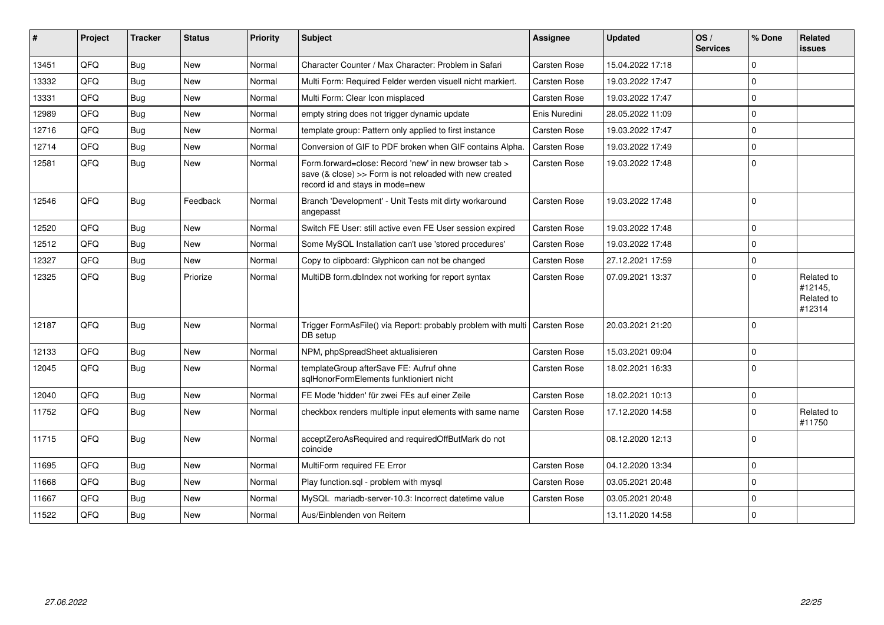| #     | Project | <b>Tracker</b> | <b>Status</b> | Priority | <b>Subject</b>                                                                                                                                      | <b>Assignee</b>     | <b>Updated</b>   | OS/<br><b>Services</b> | % Done      | Related<br><b>issues</b>                      |
|-------|---------|----------------|---------------|----------|-----------------------------------------------------------------------------------------------------------------------------------------------------|---------------------|------------------|------------------------|-------------|-----------------------------------------------|
| 13451 | QFQ     | Bug            | New           | Normal   | Character Counter / Max Character: Problem in Safari                                                                                                | <b>Carsten Rose</b> | 15.04.2022 17:18 |                        | $\mathbf 0$ |                                               |
| 13332 | QFQ     | <b>Bug</b>     | <b>New</b>    | Normal   | Multi Form: Required Felder werden visuell nicht markiert.                                                                                          | <b>Carsten Rose</b> | 19.03.2022 17:47 |                        | $\Omega$    |                                               |
| 13331 | QFQ     | <b>Bug</b>     | New           | Normal   | Multi Form: Clear Icon misplaced                                                                                                                    | <b>Carsten Rose</b> | 19.03.2022 17:47 |                        | $\mathbf 0$ |                                               |
| 12989 | QFQ     | Bug            | New           | Normal   | empty string does not trigger dynamic update                                                                                                        | Enis Nuredini       | 28.05.2022 11:09 |                        | $\mathbf 0$ |                                               |
| 12716 | QFQ     | <b>Bug</b>     | <b>New</b>    | Normal   | template group: Pattern only applied to first instance                                                                                              | <b>Carsten Rose</b> | 19.03.2022 17:47 |                        | $\mathbf 0$ |                                               |
| 12714 | QFQ     | <b>Bug</b>     | <b>New</b>    | Normal   | Conversion of GIF to PDF broken when GIF contains Alpha.                                                                                            | Carsten Rose        | 19.03.2022 17:49 |                        | $\Omega$    |                                               |
| 12581 | QFQ     | <b>Bug</b>     | New           | Normal   | Form.forward=close: Record 'new' in new browser tab ><br>save (& close) >> Form is not reloaded with new created<br>record id and stays in mode=new | Carsten Rose        | 19.03.2022 17:48 |                        | $\Omega$    |                                               |
| 12546 | QFQ     | <b>Bug</b>     | Feedback      | Normal   | Branch 'Development' - Unit Tests mit dirty workaround<br>angepasst                                                                                 | <b>Carsten Rose</b> | 19.03.2022 17:48 |                        | $\Omega$    |                                               |
| 12520 | QFQ     | <b>Bug</b>     | <b>New</b>    | Normal   | Switch FE User: still active even FE User session expired                                                                                           | <b>Carsten Rose</b> | 19.03.2022 17:48 |                        | $\mathbf 0$ |                                               |
| 12512 | QFQ     | <b>Bug</b>     | <b>New</b>    | Normal   | Some MySQL Installation can't use 'stored procedures'                                                                                               | <b>Carsten Rose</b> | 19.03.2022 17:48 |                        | $\mathbf 0$ |                                               |
| 12327 | QFQ     | <b>Bug</b>     | New           | Normal   | Copy to clipboard: Glyphicon can not be changed                                                                                                     | Carsten Rose        | 27.12.2021 17:59 |                        | $\mathbf 0$ |                                               |
| 12325 | QFQ     | <b>Bug</b>     | Priorize      | Normal   | MultiDB form.dblndex not working for report syntax                                                                                                  | <b>Carsten Rose</b> | 07.09.2021 13:37 |                        | $\mathbf 0$ | Related to<br>#12145,<br>Related to<br>#12314 |
| 12187 | QFQ     | <b>Bug</b>     | <b>New</b>    | Normal   | Trigger FormAsFile() via Report: probably problem with multi   Carsten Rose<br>DB setup                                                             |                     | 20.03.2021 21:20 |                        | $\Omega$    |                                               |
| 12133 | QFQ     | <b>Bug</b>     | New           | Normal   | NPM, phpSpreadSheet aktualisieren                                                                                                                   | <b>Carsten Rose</b> | 15.03.2021 09:04 |                        | $\mathbf 0$ |                                               |
| 12045 | QFQ     | Bug            | New           | Normal   | templateGroup afterSave FE: Aufruf ohne<br>sqlHonorFormElements funktioniert nicht                                                                  | <b>Carsten Rose</b> | 18.02.2021 16:33 |                        | $\mathbf 0$ |                                               |
| 12040 | QFQ     | <b>Bug</b>     | <b>New</b>    | Normal   | FE Mode 'hidden' für zwei FEs auf einer Zeile                                                                                                       | Carsten Rose        | 18.02.2021 10:13 |                        | $\mathbf 0$ |                                               |
| 11752 | QFQ     | <b>Bug</b>     | <b>New</b>    | Normal   | checkbox renders multiple input elements with same name                                                                                             | <b>Carsten Rose</b> | 17.12.2020 14:58 |                        | $\Omega$    | Related to<br>#11750                          |
| 11715 | QFQ     | Bug            | New           | Normal   | acceptZeroAsRequired and requiredOffButMark do not<br>coincide                                                                                      |                     | 08.12.2020 12:13 |                        | $\mathbf 0$ |                                               |
| 11695 | QFQ     | <b>Bug</b>     | <b>New</b>    | Normal   | MultiForm required FE Error                                                                                                                         | Carsten Rose        | 04.12.2020 13:34 |                        | $\mathbf 0$ |                                               |
| 11668 | QFQ     | <b>Bug</b>     | <b>New</b>    | Normal   | Play function.sgl - problem with mysgl                                                                                                              | <b>Carsten Rose</b> | 03.05.2021 20:48 |                        | $\mathbf 0$ |                                               |
| 11667 | QFQ     | Bug            | New           | Normal   | MySQL mariadb-server-10.3: Incorrect datetime value                                                                                                 | Carsten Rose        | 03.05.2021 20:48 |                        | $\Omega$    |                                               |
| 11522 | QFQ     | <b>Bug</b>     | New           | Normal   | Aus/Einblenden von Reitern                                                                                                                          |                     | 13.11.2020 14:58 |                        | $\mathbf 0$ |                                               |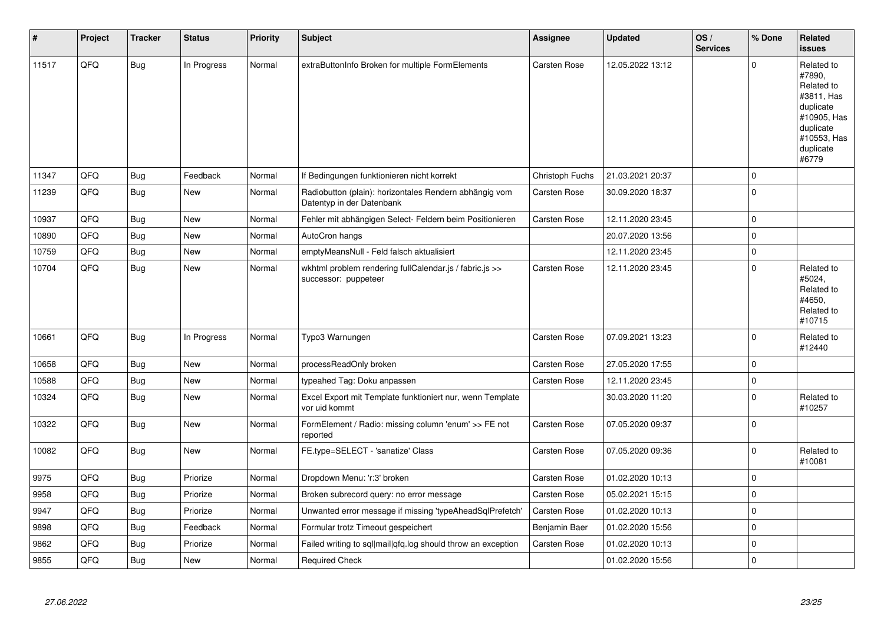| $\#$  | Project | <b>Tracker</b> | <b>Status</b> | <b>Priority</b> | <b>Subject</b>                                                                      | <b>Assignee</b>     | <b>Updated</b>   | OS/<br><b>Services</b> | % Done      | Related<br><b>issues</b>                                                                                                       |
|-------|---------|----------------|---------------|-----------------|-------------------------------------------------------------------------------------|---------------------|------------------|------------------------|-------------|--------------------------------------------------------------------------------------------------------------------------------|
| 11517 | QFQ     | Bug            | In Progress   | Normal          | extraButtonInfo Broken for multiple FormElements                                    | Carsten Rose        | 12.05.2022 13:12 |                        | $\Omega$    | Related to<br>#7890,<br>Related to<br>#3811, Has<br>duplicate<br>#10905, Has<br>duplicate<br>#10553, Has<br>duplicate<br>#6779 |
| 11347 | QFQ     | Bug            | Feedback      | Normal          | If Bedingungen funktionieren nicht korrekt                                          | Christoph Fuchs     | 21.03.2021 20:37 |                        | $\Omega$    |                                                                                                                                |
| 11239 | QFQ     | <b>Bug</b>     | <b>New</b>    | Normal          | Radiobutton (plain): horizontales Rendern abhängig vom<br>Datentyp in der Datenbank | <b>Carsten Rose</b> | 30.09.2020 18:37 |                        | $\Omega$    |                                                                                                                                |
| 10937 | QFQ     | Bug            | <b>New</b>    | Normal          | Fehler mit abhängigen Select- Feldern beim Positionieren                            | <b>Carsten Rose</b> | 12.11.2020 23:45 |                        | $\Omega$    |                                                                                                                                |
| 10890 | QFQ     | <b>Bug</b>     | <b>New</b>    | Normal          | AutoCron hangs                                                                      |                     | 20.07.2020 13:56 |                        | 0           |                                                                                                                                |
| 10759 | QFQ     | Bug            | <b>New</b>    | Normal          | emptyMeansNull - Feld falsch aktualisiert                                           |                     | 12.11.2020 23:45 |                        | $\mathbf 0$ |                                                                                                                                |
| 10704 | QFQ     | Bug            | <b>New</b>    | Normal          | wkhtml problem rendering fullCalendar.js / fabric.js >><br>successor: puppeteer     | <b>Carsten Rose</b> | 12.11.2020 23:45 |                        | 0           | Related to<br>#5024.<br>Related to<br>#4650.<br>Related to<br>#10715                                                           |
| 10661 | QFQ     | <b>Bug</b>     | In Progress   | Normal          | Typo3 Warnungen                                                                     | Carsten Rose        | 07.09.2021 13:23 |                        | $\Omega$    | Related to<br>#12440                                                                                                           |
| 10658 | QFQ     | Bug            | <b>New</b>    | Normal          | processReadOnly broken                                                              | Carsten Rose        | 27.05.2020 17:55 |                        | 0           |                                                                                                                                |
| 10588 | QFQ     | <b>Bug</b>     | New           | Normal          | typeahed Tag: Doku anpassen                                                         | Carsten Rose        | 12.11.2020 23:45 |                        | $\mathbf 0$ |                                                                                                                                |
| 10324 | QFQ     | <b>Bug</b>     | New           | Normal          | Excel Export mit Template funktioniert nur, wenn Template<br>vor uid kommt          |                     | 30.03.2020 11:20 |                        | $\mathbf 0$ | Related to<br>#10257                                                                                                           |
| 10322 | QFQ     | Bug            | New           | Normal          | FormElement / Radio: missing column 'enum' >> FE not<br>reported                    | Carsten Rose        | 07.05.2020 09:37 |                        | $\Omega$    |                                                                                                                                |
| 10082 | QFQ     | Bug            | <b>New</b>    | Normal          | FE.type=SELECT - 'sanatize' Class                                                   | <b>Carsten Rose</b> | 07.05.2020 09:36 |                        | 0           | Related to<br>#10081                                                                                                           |
| 9975  | QFQ     | <b>Bug</b>     | Priorize      | Normal          | Dropdown Menu: 'r:3' broken                                                         | <b>Carsten Rose</b> | 01.02.2020 10:13 |                        | $\pmb{0}$   |                                                                                                                                |
| 9958  | QFQ     | Bug            | Priorize      | Normal          | Broken subrecord query: no error message                                            | Carsten Rose        | 05.02.2021 15:15 |                        | 0           |                                                                                                                                |
| 9947  | QFQ     | <b>Bug</b>     | Priorize      | Normal          | Unwanted error message if missing 'typeAheadSqlPrefetch'                            | Carsten Rose        | 01.02.2020 10:13 |                        | $\Omega$    |                                                                                                                                |
| 9898  | QFQ     | Bug            | Feedback      | Normal          | Formular trotz Timeout gespeichert                                                  | Benjamin Baer       | 01.02.2020 15:56 |                        | 0           |                                                                                                                                |
| 9862  | QFQ     | <b>Bug</b>     | Priorize      | Normal          | Failed writing to sql mail qfq.log should throw an exception                        | <b>Carsten Rose</b> | 01.02.2020 10:13 |                        | $\Omega$    |                                                                                                                                |
| 9855  | QFQ     | <b>Bug</b>     | New           | Normal          | <b>Required Check</b>                                                               |                     | 01.02.2020 15:56 |                        | $\mathbf 0$ |                                                                                                                                |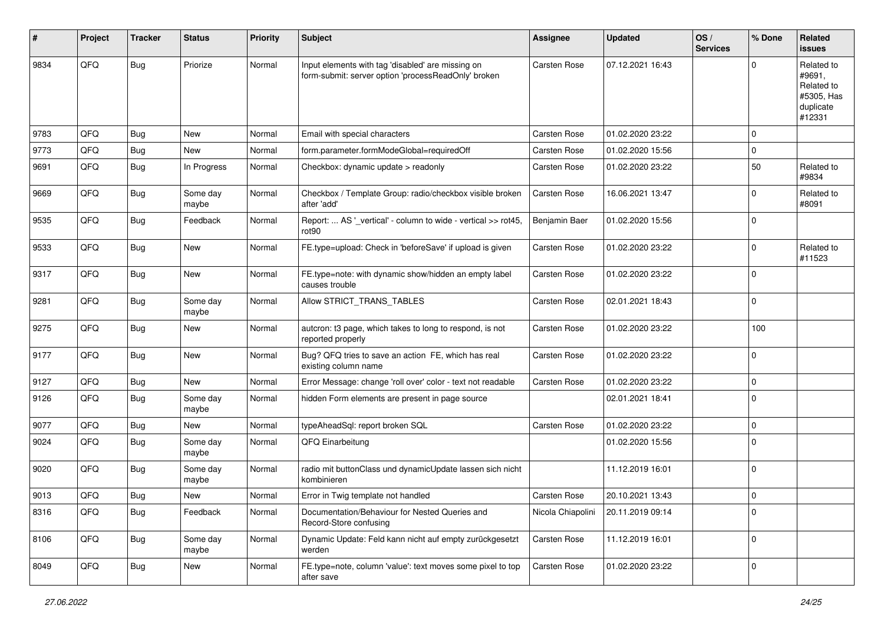| #    | Project | <b>Tracker</b> | <b>Status</b>     | <b>Priority</b> | Subject                                                                                                  | Assignee          | <b>Updated</b>   | OS/<br><b>Services</b> | % Done      | Related<br>issues                                                       |
|------|---------|----------------|-------------------|-----------------|----------------------------------------------------------------------------------------------------------|-------------------|------------------|------------------------|-------------|-------------------------------------------------------------------------|
| 9834 | QFQ     | Bug            | Priorize          | Normal          | Input elements with tag 'disabled' are missing on<br>form-submit: server option 'processReadOnly' broken | Carsten Rose      | 07.12.2021 16:43 |                        | $\Omega$    | Related to<br>#9691,<br>Related to<br>#5305, Has<br>duplicate<br>#12331 |
| 9783 | QFQ     | <b>Bug</b>     | <b>New</b>        | Normal          | Email with special characters                                                                            | Carsten Rose      | 01.02.2020 23:22 |                        | $\mathbf 0$ |                                                                         |
| 9773 | QFQ     | <b>Bug</b>     | New               | Normal          | form.parameter.formModeGlobal=requiredOff                                                                | Carsten Rose      | 01.02.2020 15:56 |                        | $\mathbf 0$ |                                                                         |
| 9691 | QFQ     | Bug            | In Progress       | Normal          | Checkbox: dynamic update > readonly                                                                      | Carsten Rose      | 01.02.2020 23:22 |                        | 50          | Related to<br>#9834                                                     |
| 9669 | QFQ     | Bug            | Some day<br>maybe | Normal          | Checkbox / Template Group: radio/checkbox visible broken<br>after 'add'                                  | Carsten Rose      | 16.06.2021 13:47 |                        | $\mathbf 0$ | Related to<br>#8091                                                     |
| 9535 | QFQ     | Bug            | Feedback          | Normal          | Report:  AS '_vertical' - column to wide - vertical >> rot45,<br>rot <sub>90</sub>                       | Benjamin Baer     | 01.02.2020 15:56 |                        | $\mathbf 0$ |                                                                         |
| 9533 | QFQ     | <b>Bug</b>     | New               | Normal          | FE.type=upload: Check in 'beforeSave' if upload is given                                                 | Carsten Rose      | 01.02.2020 23:22 |                        | $\mathbf 0$ | Related to<br>#11523                                                    |
| 9317 | QFQ     | Bug            | <b>New</b>        | Normal          | FE.type=note: with dynamic show/hidden an empty label<br>causes trouble                                  | Carsten Rose      | 01.02.2020 23:22 |                        | $\mathbf 0$ |                                                                         |
| 9281 | QFQ     | <b>Bug</b>     | Some day<br>maybe | Normal          | Allow STRICT_TRANS_TABLES                                                                                | Carsten Rose      | 02.01.2021 18:43 |                        | $\mathbf 0$ |                                                                         |
| 9275 | QFQ     | Bug            | New               | Normal          | autcron: t3 page, which takes to long to respond, is not<br>reported properly                            | Carsten Rose      | 01.02.2020 23:22 |                        | 100         |                                                                         |
| 9177 | QFQ     | Bug            | <b>New</b>        | Normal          | Bug? QFQ tries to save an action FE, which has real<br>existing column name                              | Carsten Rose      | 01.02.2020 23:22 |                        | $\pmb{0}$   |                                                                         |
| 9127 | QFQ     | Bug            | <b>New</b>        | Normal          | Error Message: change 'roll over' color - text not readable                                              | Carsten Rose      | 01.02.2020 23:22 |                        | 0           |                                                                         |
| 9126 | QFQ     | <b>Bug</b>     | Some day<br>maybe | Normal          | hidden Form elements are present in page source                                                          |                   | 02.01.2021 18:41 |                        | $\mathbf 0$ |                                                                         |
| 9077 | QFQ     | <b>Bug</b>     | New               | Normal          | typeAheadSql: report broken SQL                                                                          | Carsten Rose      | 01.02.2020 23:22 |                        | $\pmb{0}$   |                                                                         |
| 9024 | QFQ     | Bug            | Some day<br>maybe | Normal          | QFQ Einarbeitung                                                                                         |                   | 01.02.2020 15:56 |                        | $\mathbf 0$ |                                                                         |
| 9020 | QFQ     | Bug            | Some day<br>maybe | Normal          | radio mit buttonClass und dynamicUpdate lassen sich nicht<br>kombinieren                                 |                   | 11.12.2019 16:01 |                        | $\mathbf 0$ |                                                                         |
| 9013 | QFQ     | <b>Bug</b>     | New               | Normal          | Error in Twig template not handled                                                                       | Carsten Rose      | 20.10.2021 13:43 |                        | $\mathbf 0$ |                                                                         |
| 8316 | QFQ     | Bug            | Feedback          | Normal          | Documentation/Behaviour for Nested Queries and<br>Record-Store confusing                                 | Nicola Chiapolini | 20.11.2019 09:14 |                        | $\pmb{0}$   |                                                                         |
| 8106 | QFQ     | Bug            | Some day<br>maybe | Normal          | Dynamic Update: Feld kann nicht auf empty zurückgesetzt<br>werden                                        | Carsten Rose      | 11.12.2019 16:01 |                        | $\pmb{0}$   |                                                                         |
| 8049 | QFQ     | <b>Bug</b>     | New               | Normal          | FE.type=note, column 'value': text moves some pixel to top<br>after save                                 | Carsten Rose      | 01.02.2020 23:22 |                        | 0           |                                                                         |